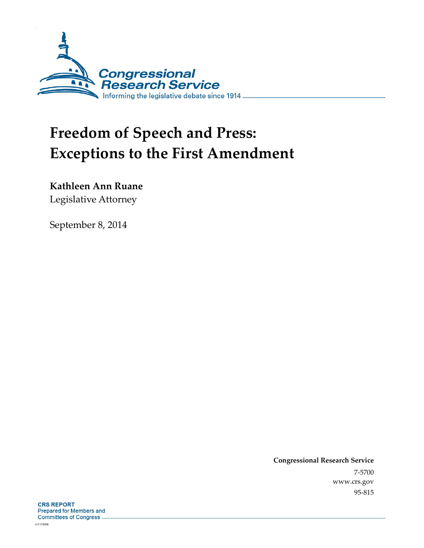

# **Freedom of Speech and Press: Exceptions to the First Amendment**

**Kathleen Ann Ruane** 

Legislative Attorney

September 8, 2014

**Congressional Research Service**  7-5700 www.crs.gov 95-815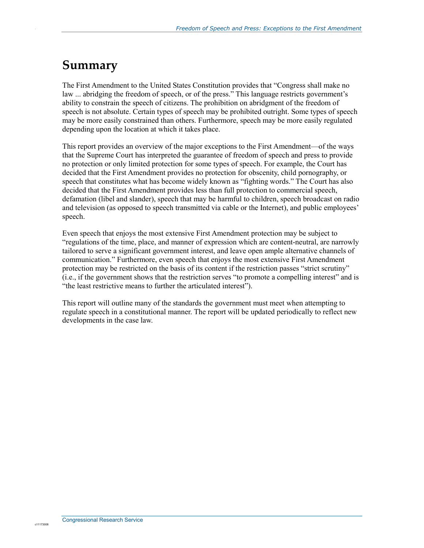## **Summary**

.

The First Amendment to the United States Constitution provides that "Congress shall make no law ... abridging the freedom of speech, or of the press." This language restricts government's ability to constrain the speech of citizens. The prohibition on abridgment of the freedom of speech is not absolute. Certain types of speech may be prohibited outright. Some types of speech may be more easily constrained than others. Furthermore, speech may be more easily regulated depending upon the location at which it takes place.

This report provides an overview of the major exceptions to the First Amendment—of the ways that the Supreme Court has interpreted the guarantee of freedom of speech and press to provide no protection or only limited protection for some types of speech. For example, the Court has decided that the First Amendment provides no protection for obscenity, child pornography, or speech that constitutes what has become widely known as "fighting words." The Court has also decided that the First Amendment provides less than full protection to commercial speech, defamation (libel and slander), speech that may be harmful to children, speech broadcast on radio and television (as opposed to speech transmitted via cable or the Internet), and public employees' speech.

Even speech that enjoys the most extensive First Amendment protection may be subject to "regulations of the time, place, and manner of expression which are content-neutral, are narrowly tailored to serve a significant government interest, and leave open ample alternative channels of communication." Furthermore, even speech that enjoys the most extensive First Amendment protection may be restricted on the basis of its content if the restriction passes "strict scrutiny" (i.e., if the government shows that the restriction serves "to promote a compelling interest" and is "the least restrictive means to further the articulated interest").

This report will outline many of the standards the government must meet when attempting to regulate speech in a constitutional manner. The report will be updated periodically to reflect new developments in the case law.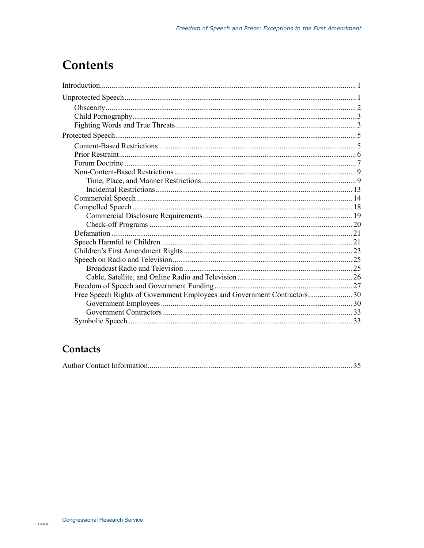## **Contents**

## Contacts

|--|--|--|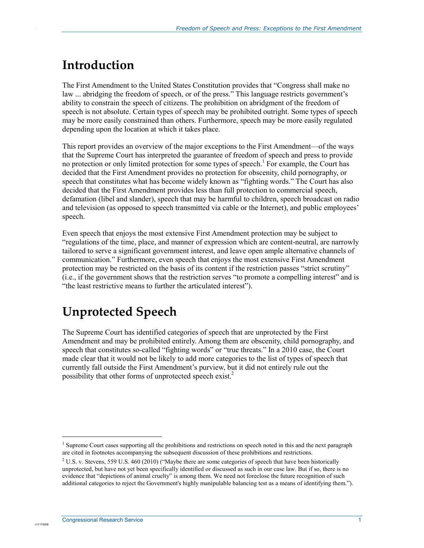## **Introduction**

.

The First Amendment to the United States Constitution provides that "Congress shall make no law ... abridging the freedom of speech, or of the press." This language restricts government's ability to constrain the speech of citizens. The prohibition on abridgment of the freedom of speech is not absolute. Certain types of speech may be prohibited outright. Some types of speech may be more easily constrained than others. Furthermore, speech may be more easily regulated depending upon the location at which it takes place.

This report provides an overview of the major exceptions to the First Amendment—of the ways that the Supreme Court has interpreted the guarantee of freedom of speech and press to provide no protection or only limited protection for some types of speech.<sup>1</sup> For example, the Court has decided that the First Amendment provides no protection for obscenity, child pornography, or speech that constitutes what has become widely known as "fighting words." The Court has also decided that the First Amendment provides less than full protection to commercial speech, defamation (libel and slander), speech that may be harmful to children, speech broadcast on radio and television (as opposed to speech transmitted via cable or the Internet), and public employees' speech.

Even speech that enjoys the most extensive First Amendment protection may be subject to "regulations of the time, place, and manner of expression which are content-neutral, are narrowly tailored to serve a significant government interest, and leave open ample alternative channels of communication." Furthermore, even speech that enjoys the most extensive First Amendment protection may be restricted on the basis of its content if the restriction passes "strict scrutiny" (i.e., if the government shows that the restriction serves "to promote a compelling interest" and is "the least restrictive means to further the articulated interest").

## **Unprotected Speech**

The Supreme Court has identified categories of speech that are unprotected by the First Amendment and may be prohibited entirely. Among them are obscenity, child pornography, and speech that constitutes so-called "fighting words" or "true threats." In a 2010 case, the Court made clear that it would not be likely to add more categories to the list of types of speech that currently fall outside the First Amendment's purview, but it did not entirely rule out the possibility that other forms of unprotected speech exist.<sup>2</sup>

 $\overline{a}$ 

<sup>&</sup>lt;sup>1</sup> Supreme Court cases supporting all the prohibitions and restrictions on speech noted in this and the next paragraph are cited in footnotes accompanying the subsequent discussion of these prohibitions and restrictions.

 $2^2$  U.S. v. Stevens, 559 U.S. 460 (2010) ("Maybe there are some categories of speech that have been historically unprotected, but have not yet been specifically identified or discussed as such in our case law. But if so, there is no evidence that "depictions of animal cruelty" is among them. We need not foreclose the future recognition of such additional categories to reject the Government's highly manipulable balancing test as a means of identifying them.").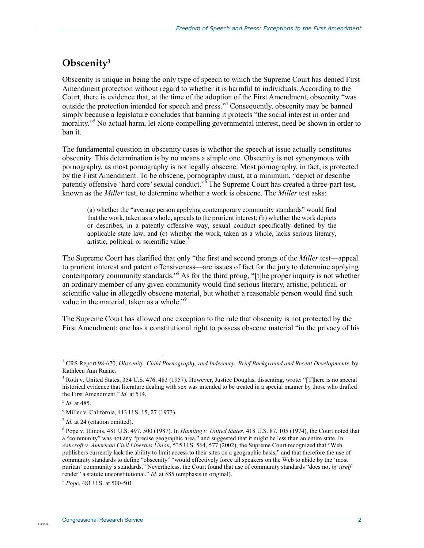#### **Obscenity3**

.

Obscenity is unique in being the only type of speech to which the Supreme Court has denied First Amendment protection without regard to whether it is harmful to individuals. According to the Court, there is evidence that, at the time of the adoption of the First Amendment, obscenity "was outside the protection intended for speech and press."4 Consequently, obscenity may be banned simply because a legislature concludes that banning it protects "the social interest in order and morality."<sup>5</sup> No actual harm, let alone compelling governmental interest, need be shown in order to ban it.

The fundamental question in obscenity cases is whether the speech at issue actually constitutes obscenity. This determination is by no means a simple one. Obscenity is not synonymous with pornography, as most pornography is not legally obscene. Most pornography, in fact, is protected by the First Amendment. To be obscene, pornography must, at a minimum, "depict or describe patently offensive 'hard core' sexual conduct."<sup>5</sup> The Supreme Court has created a three-part test, known as the *Miller* test, to determine whether a work is obscene. The *Miller* test asks:

(a) whether the "average person applying contemporary community standards" would find that the work, taken as a whole, appeals to the prurient interest; (b) whether the work depicts or describes, in a patently offensive way, sexual conduct specifically defined by the applicable state law; and (c) whether the work, taken as a whole, lacks serious literary, artistic, political, or scientific value.<sup>7</sup>

The Supreme Court has clarified that only "the first and second prongs of the *Miller* test—appeal to prurient interest and patent offensiveness—are issues of fact for the jury to determine applying contemporary community standards."<sup>8</sup> As for the third prong, "[t]he proper inquiry is not whether an ordinary member of any given community would find serious literary, artistic, political, or scientific value in allegedly obscene material, but whether a reasonable person would find such value in the material, taken as a whole."<sup>9</sup>

The Supreme Court has allowed one exception to the rule that obscenity is not protected by the First Amendment: one has a constitutional right to possess obscene material "in the privacy of his

 $\overline{a}$ 

<sup>&</sup>lt;sup>3</sup> CRS Report 98-670, *Obscenity, Child Pornography, and Indecency: Brief Background and Recent Developments*, by Kathleen Ann Ruane.

<sup>4</sup> Roth v. United States, 354 U.S. 476, 483 (1957). However, Justice Douglas, dissenting, wrote: "[T]here is no special historical evidence that literature dealing with sex was intended to be treated in a special manner by those who drafted the First Amendment." *Id.* at 514.

<sup>5</sup> *Id.* at 485.

<sup>6</sup> Miller v. California, 413 U.S. 15, 27 (1973).

<sup>&</sup>lt;sup>7</sup> *Id.* at 24 (citation omitted).

<sup>8</sup> Pope v. Illinois, 481 U.S. 497, 500 (1987). In *Hamling v. United States*, 418 U.S. 87, 105 (1974), the Court noted that a "community" was not any "precise geographic area," and suggested that it might be less than an entire state. In *Ashcroft v. American Civil Liberties Union*, 535 U.S. 564, 577 (2002), the Supreme Court recognized that "Web publishers currently lack the ability to limit access to their sites on a geographic basis," and that therefore the use of community standards to define "obscenity" "would effectively force all speakers on the Web to abide by the 'most puritan' community's standards." Nevertheless, the Court found that use of community standards "does not *by itself* render" a statute unconstitutional." *Id.* at 585 (emphasis in original).

<sup>&</sup>lt;sup>9</sup> Pope, 481 U.S. at 500-501.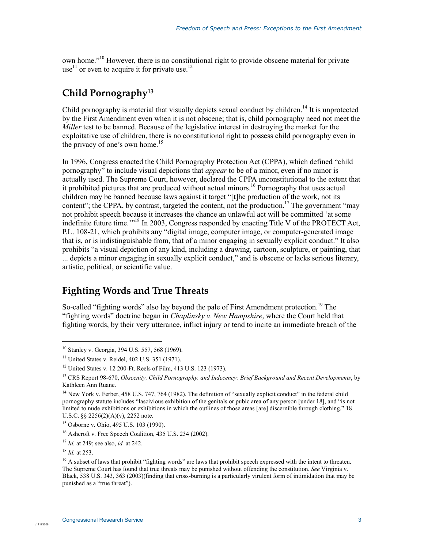own home."10 However, there is no constitutional right to provide obscene material for private use<sup>11</sup> or even to acquire it for private use.<sup>12</sup>

### **Child Pornography13**

.

Child pornography is material that visually depicts sexual conduct by children.<sup>14</sup> It is unprotected by the First Amendment even when it is not obscene; that is, child pornography need not meet the *Miller* test to be banned. Because of the legislative interest in destroying the market for the exploitative use of children, there is no constitutional right to possess child pornography even in the privacy of one's own home.<sup>15</sup>

In 1996, Congress enacted the Child Pornography Protection Act (CPPA), which defined "child pornography" to include visual depictions that *appear* to be of a minor, even if no minor is actually used. The Supreme Court, however, declared the CPPA unconstitutional to the extent that it prohibited pictures that are produced without actual minors.<sup>16</sup> Pornography that uses actual children may be banned because laws against it target "[t]he production of the work, not its content"; the CPPA, by contrast, targeted the content, not the production.<sup>17</sup> The government "may not prohibit speech because it increases the chance an unlawful act will be committed 'at some indefinite future time."<sup>18</sup> In 2003, Congress responded by enacting Title V of the PROTECT Act, P.L. 108-21, which prohibits any "digital image, computer image, or computer-generated image that is, or is indistinguishable from, that of a minor engaging in sexually explicit conduct." It also prohibits "a visual depiction of any kind, including a drawing, cartoon, sculpture, or painting, that ... depicts a minor engaging in sexually explicit conduct," and is obscene or lacks serious literary, artistic, political, or scientific value.

#### **Fighting Words and True Threats**

So-called "fighting words" also lay beyond the pale of First Amendment protection.<sup>19</sup> The "fighting words" doctrine began in *Chaplinsky v. New Hampshire*, where the Court held that fighting words, by their very utterance, inflict injury or tend to incite an immediate breach of the

c1117300

 $\overline{a}$ 

<sup>10</sup> Stanley v. Georgia, 394 U.S. 557, 568 (1969).

<sup>11</sup> United States v. Reidel, 402 U.S. 351 (1971).

<sup>12</sup> United States v. 12 200-Ft. Reels of Film, 413 U.S. 123 (1973).

<sup>13</sup> CRS Report 98-670, *Obscenity, Child Pornography, and Indecency: Brief Background and Recent Developments*, by Kathleen Ann Ruane.

<sup>&</sup>lt;sup>14</sup> New York v. Ferber, 458 U.S. 747, 764 (1982). The definition of "sexually explicit conduct" in the federal child pornography statute includes "lascivious exhibition of the genitals or pubic area of any person [under 18], and "is not limited to nude exhibitions or exhibitions in which the outlines of those areas [are] discernible through clothing." 18 U.S.C. §§ 2256(2)(A)(v), 2252 note.

<sup>15</sup> Osborne v. Ohio, 495 U.S. 103 (1990).

<sup>&</sup>lt;sup>16</sup> Ashcroft v. Free Speech Coalition, 435 U.S. 234 (2002).

<sup>17</sup> *Id.* at 249; see also, *id.* at 242.

<sup>18</sup> *Id.* at 253.

 $<sup>19</sup>$  A subset of laws that prohibit "fighting words" are laws that prohibit speech expressed with the intent to threaten.</sup> The Supreme Court has found that true threats may be punished without offending the constitution. *See* Virginia v. Black, 538 U.S. 343, 363 (2003)(finding that cross-burning is a particularly virulent form of intimidation that may be punished as a "true threat").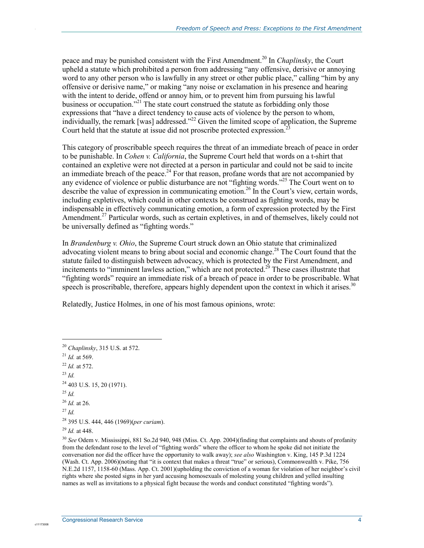peace and may be punished consistent with the First Amendment.20 In *Chaplinsky*, the Court upheld a statute which prohibited a person from addressing "any offensive, derisive or annoying word to any other person who is lawfully in any street or other public place," calling "him by any offensive or derisive name," or making "any noise or exclamation in his presence and hearing with the intent to deride, offend or annoy him, or to prevent him from pursuing his lawful business or occupation."<sup>21</sup> The state court construed the statute as forbidding only those expressions that "have a direct tendency to cause acts of violence by the person to whom, individually, the remark [was] addressed."<sup>22</sup> Given the limited scope of application, the Supreme Court held that the statute at issue did not proscribe protected expression.<sup>2</sup>

This category of proscribable speech requires the threat of an immediate breach of peace in order to be punishable. In *Cohen v. California*, the Supreme Court held that words on a t-shirt that contained an expletive were not directed at a person in particular and could not be said to incite an immediate breach of the peace.<sup>24</sup> For that reason, profane words that are not accompanied by any evidence of violence or public disturbance are not "fighting words."<sup>25</sup> The Court went on to describe the value of expression in communicating emotion.<sup>26</sup> In the Court's view, certain words, including expletives, which could in other contexts be construed as fighting words, may be indispensable in effectively communicating emotion, a form of expression protected by the First Amendment.<sup>27</sup> Particular words, such as certain expletives, in and of themselves, likely could not be universally defined as "fighting words."

In *Brandenburg v. Ohio*, the Supreme Court struck down an Ohio statute that criminalized advocating violent means to bring about social and economic change.<sup>28</sup> The Court found that the statute failed to distinguish between advocacy, which is protected by the First Amendment, and incitements to "imminent lawless action," which are not protected.<sup>29</sup> These cases illustrate that "fighting words" require an immediate risk of a breach of peace in order to be proscribable. What speech is proscribable, therefore, appears highly dependent upon the context in which it arises.<sup>30</sup>

Relatedly, Justice Holmes, in one of his most famous opinions, wrote:

 $\overline{a}$ 

.

<sup>20</sup> *Chaplinsky*, 315 U.S. at 572.

<sup>21</sup> *Id.* at 569.

<sup>22</sup> *Id.* at 572. <sup>23</sup> *Id.*  $24$  403 U.S. 15, 20 (1971). <sup>25</sup> *Id.* <sup>26</sup> *Id.* at 26.

<sup>27</sup> *Id.*

<sup>28 395</sup> U.S. 444, 446 (1969)(*per curiam*).

<sup>29</sup> *Id.* at 448.

<sup>30</sup> *See* Odem v. Mississippi, 881 So.2d 940, 948 (Miss. Ct. App. 2004)(finding that complaints and shouts of profanity from the defendant rose to the level of "fighting words" where the officer to whom he spoke did not initiate the conversation nor did the officer have the opportunity to walk away); *see also* Washington v. King, 145 P.3d 1224 (Wash. Ct. App. 2006)(noting that "it is context that makes a threat "true" or serious), Commonwealth v. Pike, 756 N.E.2d 1157, 1158-60 (Mass. App. Ct. 2001)(upholding the conviction of a woman for violation of her neighbor's civil rights where she posted signs in her yard accusing homosexuals of molesting young children and yelled insulting names as well as invitations to a physical fight because the words and conduct constituted "fighting words").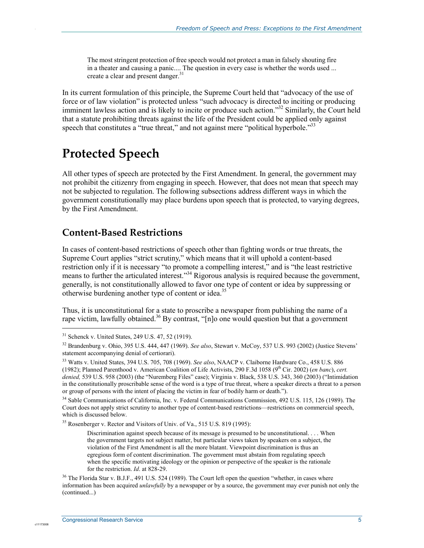The most stringent protection of free speech would not protect a man in falsely shouting fire in a theater and causing a panic.... The question in every case is whether the words used ... create a clear and present danger.<sup>31</sup>

In its current formulation of this principle, the Supreme Court held that "advocacy of the use of force or of law violation" is protected unless "such advocacy is directed to inciting or producing imminent lawless action and is likely to incite or produce such action."32 Similarly, the Court held that a statute prohibiting threats against the life of the President could be applied only against speech that constitutes a "true threat," and not against mere "political hyperbole."<sup>33</sup>

## **Protected Speech**

All other types of speech are protected by the First Amendment. In general, the government may not prohibit the citizenry from engaging in speech. However, that does not mean that speech may not be subjected to regulation. The following subsections address different ways in which the government constitutionally may place burdens upon speech that is protected, to varying degrees, by the First Amendment.

#### **Content-Based Restrictions**

In cases of content-based restrictions of speech other than fighting words or true threats, the Supreme Court applies "strict scrutiny," which means that it will uphold a content-based restriction only if it is necessary "to promote a compelling interest," and is "the least restrictive means to further the articulated interest."<sup>34</sup> Rigorous analysis is required because the government, generally, is not constitutionally allowed to favor one type of content or idea by suppressing or otherwise burdening another type of content or idea.<sup>35</sup>

Thus, it is unconstitutional for a state to proscribe a newspaper from publishing the name of a rape victim, lawfully obtained.<sup>36</sup> By contrast, " $[n]$  one would question but that a government

1

c1117300

.

35 Rosenberger v. Rector and Visitors of Univ. of Va., 515 U.S. 819 (1995):

<sup>31</sup> Schenck v. United States, 249 U.S. 47, 52 (1919).

<sup>32</sup> Brandenburg v. Ohio, 395 U.S. 444, 447 (1969). *See also*, Stewart v. McCoy, 537 U.S. 993 (2002) (Justice Stevens' statement accompanying denial of certiorari).

<sup>33</sup> Watts v. United States, 394 U.S. 705, 708 (1969). *See also*, NAACP v. Claiborne Hardware Co., 458 U.S. 886 (1982); Planned Parenthood v. American Coalition of Life Activists, 290 F.3d 1058 (9th Cir. 2002) (*en banc*), *cert. denied,* 539 U.S. 958 (2003) (the "Nuremberg Files" case); Virginia v. Black, 538 U.S. 343, 360 (2003) ("Intimidation in the constitutionally proscribable sense of the word is a type of true threat, where a speaker directs a threat to a person or group of persons with the intent of placing the victim in fear of bodily harm or death.").

<sup>34</sup> Sable Communications of California, Inc. v. Federal Communications Commission, 492 U.S. 115, 126 (1989). The Court does not apply strict scrutiny to another type of content-based restrictions—restrictions on commercial speech, which is discussed below.

Discrimination against speech because of its message is presumed to be unconstitutional. . . . When the government targets not subject matter, but particular views taken by speakers on a subject, the violation of the First Amendment is all the more blatant. Viewpoint discrimination is thus an egregious form of content discrimination. The government must abstain from regulating speech when the specific motivating ideology or the opinion or perspective of the speaker is the rationale for the restriction. *Id*. at 828-29.

 $36$  The Florida Star v. B.J.F., 491 U.S. 524 (1989). The Court left open the question "whether, in cases where information has been acquired *unlawfully* by a newspaper or by a source, the government may ever punish not only the (continued...)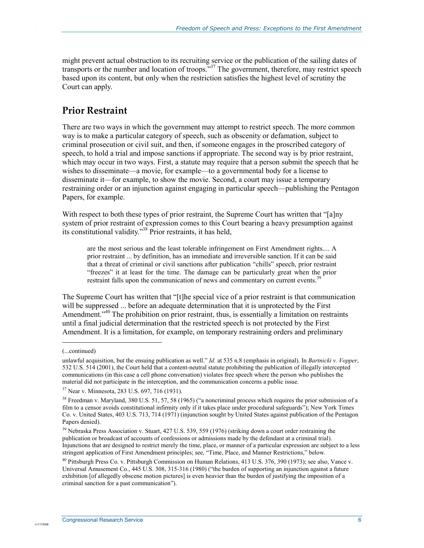might prevent actual obstruction to its recruiting service or the publication of the sailing dates of transports or the number and location of troops."37 The government, therefore, may restrict speech based upon its content, but only when the restriction satisfies the highest level of scrutiny the Court can apply.

#### **Prior Restraint**

.

There are two ways in which the government may attempt to restrict speech. The more common way is to make a particular category of speech, such as obscenity or defamation, subject to criminal prosecution or civil suit, and then, if someone engages in the proscribed category of speech, to hold a trial and impose sanctions if appropriate. The second way is by prior restraint, which may occur in two ways. First, a statute may require that a person submit the speech that he wishes to disseminate—a movie, for example—to a governmental body for a license to disseminate it—for example, to show the movie. Second, a court may issue a temporary restraining order or an injunction against engaging in particular speech—publishing the Pentagon Papers, for example.

With respect to both these types of prior restraint, the Supreme Court has written that "[a]ny system of prior restraint of expression comes to this Court bearing a heavy presumption against its constitutional validity."38 Prior restraints, it has held,

are the most serious and the least tolerable infringement on First Amendment rights.... A prior restraint ... by definition, has an immediate and irreversible sanction. If it can be said that a threat of criminal or civil sanctions after publication "chills" speech, prior restraint "freezes" it at least for the time. The damage can be particularly great when the prior restraint falls upon the communication of news and commentary on current events.<sup>39</sup>

The Supreme Court has written that "[t]he special vice of a prior restraint is that communication will be suppressed ... before an adequate determination that it is unprotected by the First Amendment.<sup>"40</sup> The prohibition on prior restraint, thus, is essentially a limitation on restraints until a final judicial determination that the restricted speech is not protected by the First Amendment. It is a limitation, for example, on temporary restraining orders and preliminary

1

<sup>(...</sup>continued)

unlawful acquisition, but the ensuing publication as well." *Id.* at 535 n.8 (emphasis in original). In *Bartnicki v. Vopper*, 532 U.S. 514 (2001), the Court held that a content-neutral statute prohibiting the publication of illegally intercepted communications (in this case a cell phone conversation) violates free speech where the person who publishes the material did not participate in the interception, and the communication concerns a public issue.

<sup>37</sup> Near v. Minnesota, 283 U.S. 697, 716 (1931).

<sup>&</sup>lt;sup>38</sup> Freedman v. Maryland, 380 U.S. 51, 57, 58 (1965) ("a noncriminal process which requires the prior submission of a film to a censor avoids constitutional infirmity only if it takes place under procedural safeguards"); New York Times Co. v. United States, 403 U.S. 713, 714 (1971) (injunction sought by United States against publication of the Pentagon Papers denied).

<sup>&</sup>lt;sup>39</sup> Nebraska Press Association v. Stuart, 427 U.S. 539, 559 (1976) (striking down a court order restraining the publication or broadcast of accounts of confessions or admissions made by the defendant at a criminal trial). Injunctions that are designed to restrict merely the time, place, or manner of a particular expression are subject to a less stringent application of First Amendment principles; see, "Time, Place, and Manner Restrictions," below.

<sup>40</sup> Pittsburgh Press Co. v. Pittsburgh Commission on Human Relations, 413 U.S. 376, 390 (1973); see also, Vance v. Universal Amusement Co., 445 U.S. 308, 315-316 (1980) ("the burden of supporting an injunction against a future exhibition [of allegedly obscene motion pictures] is even heavier than the burden of justifying the imposition of a criminal sanction for a past communication").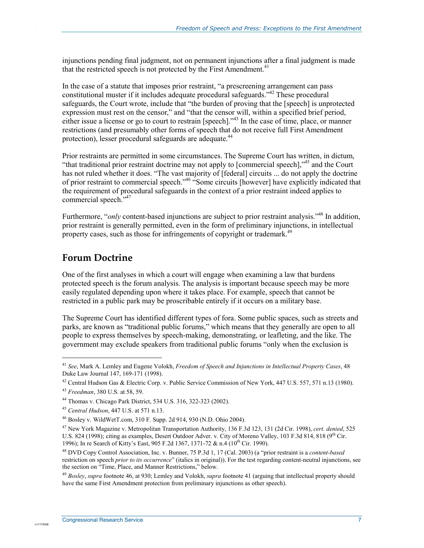injunctions pending final judgment, not on permanent injunctions after a final judgment is made that the restricted speech is not protected by the First Amendment.<sup>41</sup>

In the case of a statute that imposes prior restraint, "a prescreening arrangement can pass constitutional muster if it includes adequate procedural safeguards."42 These procedural safeguards, the Court wrote, include that "the burden of proving that the [speech] is unprotected expression must rest on the censor," and "that the censor will, within a specified brief period, either issue a license or go to court to restrain [speech]."<sup>43</sup> In the case of time, place, or manner restrictions (and presumably other forms of speech that do not receive full First Amendment protection), lesser procedural safeguards are adequate.<sup>44</sup>

Prior restraints are permitted in some circumstances. The Supreme Court has written, in dictum, "that traditional prior restraint doctrine may not apply to [commercial speech],"<sup>45</sup> and the Court has not ruled whether it does. "The vast majority of [federal] circuits ... do not apply the doctrine of prior restraint to commercial speech."46 "Some circuits [however] have explicitly indicated that the requirement of procedural safeguards in the context of a prior restraint indeed applies to commercial speech."<sup>47</sup>

Furthermore, "*only* content-based injunctions are subject to prior restraint analysis."<sup>48</sup> In addition, prior restraint is generally permitted, even in the form of preliminary injunctions, in intellectual property cases, such as those for infringements of copyright or trademark.<sup>49</sup>

#### **Forum Doctrine**

One of the first analyses in which a court will engage when examining a law that burdens protected speech is the forum analysis. The analysis is important because speech may be more easily regulated depending upon where it takes place. For example, speech that cannot be restricted in a public park may be proscribable entirely if it occurs on a military base.

The Supreme Court has identified different types of fora. Some public spaces, such as streets and parks, are known as "traditional public forums," which means that they generally are open to all people to express themselves by speech-making, demonstrating, or leafleting, and the like. The government may exclude speakers from traditional public forums "only when the exclusion is

1

c11173008

<sup>41</sup> *See*, Mark A. Lemley and Eugene Volokh, *Freedom of Speech and Injunctions in Intellectual Property Cases*, 48 Duke Law Journal 147, 169-171 (1998).

<sup>42</sup> Central Hudson Gas & Electric Corp. v. Public Service Commission of New York, 447 U.S. 557, 571 n.13 (1980).

<sup>43</sup> *Freedman*, 380 U.S. at 58, 59.

<sup>44</sup> Thomas v. Chicago Park District, 534 U.S. 316, 322-323 (2002).

<sup>45</sup> *Central Hudson*, 447 U.S. at 571 n.13.

<sup>46</sup> Bosley v. WildWetT.com, 310 F. Supp. 2d 914, 930 (N.D. Ohio 2004).

<sup>47</sup> New York Magazine v. Metropolitan Transportation Authority, 136 F.3d 123, 131 (2d Cir. 1998), *cert. denied*, 525 U.S. 824 (1998); citing as examples, Desert Outdoor Adver. v. City of Moreno Valley, 103 F.3d 814, 818 (9<sup>th</sup> Cir. 1996); In re Search of Kitty's East, 905 F.2d 1367, 1371-72 & n.4 (10th Cir. 1990).

<sup>48</sup> DVD Copy Control Association, Inc. v. Bunner, 75 P.3d 1, 17 (Cal. 2003) (a "prior restraint is a *content-based* restriction on speech *prior to its occurrence*" (italics in original)). For the test regarding content-neutral injunctions, see the section on "Time, Place, and Manner Restrictions," below.

<sup>49</sup> *Bosley*, *supra* footnote 46, at 930; Lemley and Volokh, *supra* footnote 41 (arguing that intellectual property should have the same First Amendment protection from preliminary injunctions as other speech).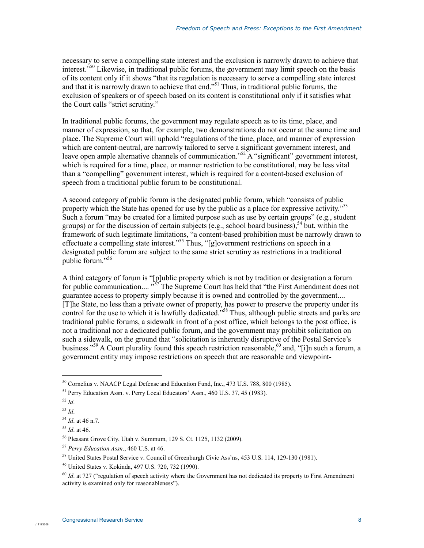necessary to serve a compelling state interest and the exclusion is narrowly drawn to achieve that interest.<sup>550</sup> Likewise, in traditional public forums, the government may limit speech on the basis of its content only if it shows "that its regulation is necessary to serve a compelling state interest and that it is narrowly drawn to achieve that end."<sup>51</sup> Thus, in traditional public forums, the exclusion of speakers or of speech based on its content is constitutional only if it satisfies what the Court calls "strict scrutiny."

In traditional public forums, the government may regulate speech as to its time, place, and manner of expression, so that, for example, two demonstrations do not occur at the same time and place. The Supreme Court will uphold "regulations of the time, place, and manner of expression which are content-neutral, are narrowly tailored to serve a significant government interest, and leave open ample alternative channels of communication."<sup>52</sup> A "significant" government interest, which is required for a time, place, or manner restriction to be constitutional, may be less vital than a "compelling" government interest, which is required for a content-based exclusion of speech from a traditional public forum to be constitutional.

A second category of public forum is the designated public forum, which "consists of public property which the State has opened for use by the public as a place for expressive activity."<sup>53</sup> Such a forum "may be created for a limited purpose such as use by certain groups" (e.g., student groups) or for the discussion of certain subjects (e.g., school board business),<sup>54</sup> but, within the framework of such legitimate limitations, "a content-based prohibition must be narrowly drawn to effectuate a compelling state interest."55 Thus, "[g]overnment restrictions on speech in a designated public forum are subject to the same strict scrutiny as restrictions in a traditional public forum."56

A third category of forum is "[p]ublic property which is not by tradition or designation a forum for public communication.... "57 The Supreme Court has held that "the First Amendment does not guarantee access to property simply because it is owned and controlled by the government.... [T]he State, no less than a private owner of property, has power to preserve the property under its control for the use to which it is lawfully dedicated.<sup>558</sup> Thus, although public streets and parks are traditional public forums, a sidewalk in front of a post office, which belongs to the post office, is not a traditional nor a dedicated public forum, and the government may prohibit solicitation on such a sidewalk, on the ground that "solicitation is inherently disruptive of the Postal Service's business."<sup>59</sup> A Court plurality found this speech restriction reasonable,<sup>60</sup> and, "[i]n such a forum, a government entity may impose restrictions on speech that are reasonable and viewpoint-

1

.

<sup>50</sup> Cornelius v. NAACP Legal Defense and Education Fund, Inc., 473 U.S. 788, 800 (1985).

<sup>51</sup> Perry Education Assn. v. Perry Local Educators' Assn., 460 U.S. 37, 45 (1983).

<sup>52</sup> *Id*.

<sup>53</sup> *Id*.

<sup>54</sup> *Id*. at 46 n.7.

<sup>55</sup> *Id*. at 46.

<sup>56</sup> Pleasant Grove City, Utah v. Summum, 129 S. Ct. 1125, 1132 (2009).

<sup>57</sup> *Perry Education Assn*., 460 U.S. at 46.

<sup>&</sup>lt;sup>58</sup> United States Postal Service v. Council of Greenburgh Civic Ass'ns, 453 U.S. 114, 129-130 (1981).

<sup>59</sup> United States v. Kokinda, 497 U.S. 720, 732 (1990).

<sup>60</sup> *Id*. at 727 ("regulation of speech activity where the Government has not dedicated its property to First Amendment activity is examined only for reasonableness").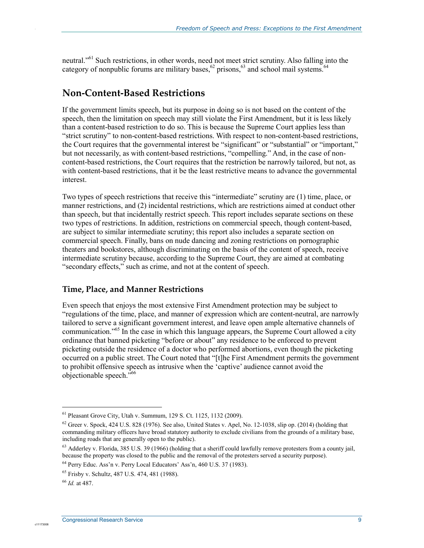neutral."<sup>61</sup> Such restrictions, in other words, need not meet strict scrutiny. Also falling into the category of nonpublic forums are military bases,  $62$  prisons,  $63$  and school mail systems. $64$ 

#### **Non-Content-Based Restrictions**

If the government limits speech, but its purpose in doing so is not based on the content of the speech, then the limitation on speech may still violate the First Amendment, but it is less likely than a content-based restriction to do so. This is because the Supreme Court applies less than "strict scrutiny" to non-content-based restrictions. With respect to non-content-based restrictions, the Court requires that the governmental interest be "significant" or "substantial" or "important," but not necessarily, as with content-based restrictions, "compelling." And, in the case of noncontent-based restrictions, the Court requires that the restriction be narrowly tailored, but not, as with content-based restrictions, that it be the least restrictive means to advance the governmental interest.

Two types of speech restrictions that receive this "intermediate" scrutiny are (1) time, place, or manner restrictions, and (2) incidental restrictions, which are restrictions aimed at conduct other than speech, but that incidentally restrict speech. This report includes separate sections on these two types of restrictions. In addition, restrictions on commercial speech, though content-based, are subject to similar intermediate scrutiny; this report also includes a separate section on commercial speech. Finally, bans on nude dancing and zoning restrictions on pornographic theaters and bookstores, although discriminating on the basis of the content of speech, receive intermediate scrutiny because, according to the Supreme Court, they are aimed at combating "secondary effects," such as crime, and not at the content of speech.

#### **Time, Place, and Manner Restrictions**

Even speech that enjoys the most extensive First Amendment protection may be subject to "regulations of the time, place, and manner of expression which are content-neutral, are narrowly tailored to serve a significant government interest, and leave open ample alternative channels of communication."65 In the case in which this language appears, the Supreme Court allowed a city ordinance that banned picketing "before or about" any residence to be enforced to prevent picketing outside the residence of a doctor who performed abortions, even though the picketing occurred on a public street. The Court noted that "[t]he First Amendment permits the government to prohibit offensive speech as intrusive when the 'captive' audience cannot avoid the objectionable speech."<sup>66</sup>

c11173008

 $\overline{a}$ 

<sup>61</sup> Pleasant Grove City, Utah v. Summum, 129 S. Ct. 1125, 1132 (2009).

<sup>62</sup> Greer v. Spock, 424 U.S. 828 (1976). See also, United States v. Apel, No. 12-1038, slip op. (2014) (holding that commanding military officers have broad statutory authority to exclude civilians from the grounds of a military base, including roads that are generally open to the public).

 $63$  Adderley v. Florida, 385 U.S. 39 (1966) (holding that a sheriff could lawfully remove protesters from a county jail, because the property was closed to the public and the removal of the protesters served a security purpose).

<sup>64</sup> Perry Educ. Ass'n v. Perry Local Educators' Ass'n, 460 U.S. 37 (1983).

<sup>65</sup> Frisby v. Schultz, 487 U.S. 474, 481 (1988).

<sup>66</sup> *Id.* at 487.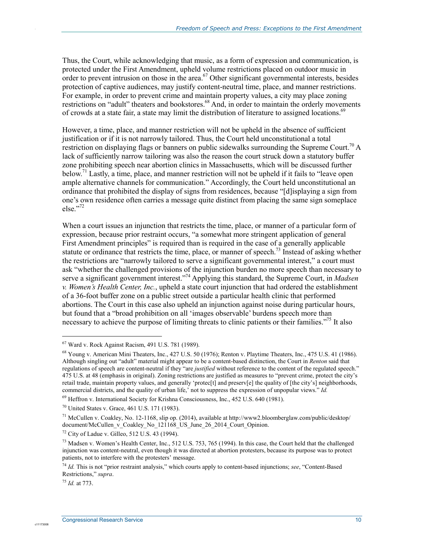Thus, the Court, while acknowledging that music, as a form of expression and communication, is protected under the First Amendment, upheld volume restrictions placed on outdoor music in order to prevent intrusion on those in the area.<sup>67</sup> Other significant governmental interests, besides protection of captive audiences, may justify content-neutral time, place, and manner restrictions. For example, in order to prevent crime and maintain property values, a city may place zoning restrictions on "adult" theaters and bookstores.<sup>68</sup> And, in order to maintain the orderly movements of crowds at a state fair, a state may limit the distribution of literature to assigned locations.<sup>69</sup>

However, a time, place, and manner restriction will not be upheld in the absence of sufficient justification or if it is not narrowly tailored. Thus, the Court held unconstitutional a total restriction on displaying flags or banners on public sidewalks surrounding the Supreme Court.<sup>70</sup> A lack of sufficiently narrow tailoring was also the reason the court struck down a statutory buffer zone prohibiting speech near abortion clinics in Massachusetts, which will be discussed further below.<sup>71</sup> Lastly, a time, place, and manner restriction will not be upheld if it fails to "leave open ample alternative channels for communication." Accordingly, the Court held unconstitutional an ordinance that prohibited the display of signs from residences, because "[d]isplaying a sign from one's own residence often carries a message quite distinct from placing the same sign someplace else $^{.,72}$ 

When a court issues an injunction that restricts the time, place, or manner of a particular form of expression, because prior restraint occurs, "a somewhat more stringent application of general First Amendment principles" is required than is required in the case of a generally applicable statute or ordinance that restricts the time, place, or manner of speech.<sup>73</sup> Instead of asking whether the restrictions are "narrowly tailored to serve a significant governmental interest," a court must ask "whether the challenged provisions of the injunction burden no more speech than necessary to serve a significant government interest."74 Applying this standard, the Supreme Court, in *Madsen v. Women's Health Center, Inc.*, upheld a state court injunction that had ordered the establishment of a 36-foot buffer zone on a public street outside a particular health clinic that performed abortions. The Court in this case also upheld an injunction against noise during particular hours, but found that a "broad prohibition on all 'images observable' burdens speech more than necessary to achieve the purpose of limiting threats to clinic patients or their families."<sup>75</sup> It also

 $^{69}$  Heffron v. International Society for Krishna Consciousness, Inc., 452 U.S. 640 (1981).

<sup>75</sup> *Id.* at 773.

c1117300

1

<sup>67</sup> Ward v. Rock Against Racism, 491 U.S. 781 (1989).

<sup>68</sup> Young v. American Mini Theaters, Inc., 427 U.S. 50 (1976); Renton v. Playtime Theaters, Inc., 475 U.S. 41 (1986). Although singling out "adult" material might appear to be a content-based distinction, the Court in *Renton* said that regulations of speech are content-neutral if they "are *justified* without reference to the content of the regulated speech." 475 U.S. at 48 (emphasis in original). Zoning restrictions are justified as measures to "prevent crime, protect the city's retail trade, maintain property values, and generally 'protec[t] and preserv[e] the quality of [the city's] neighborhoods, commercial districts, and the quality of urban life,' not to suppress the expression of unpopular views." *Id.*

<sup>70</sup> United States v. Grace, 461 U.S. 171 (1983).

<sup>71</sup> McCullen v. Coakley, No. 12-1168, slip op. (2014), available at http://www2.bloomberglaw.com/public/desktop/ document/McCullen\_v\_Coakley\_No\_121168\_US\_June\_26\_2014\_Court\_Opinion.

 $72$  City of Ladue v. Gilleo, 512 U.S. 43 (1994).

<sup>&</sup>lt;sup>73</sup> Madsen v. Women's Health Center, Inc., 512 U.S. 753, 765 (1994). In this case, the Court held that the challenged injunction was content-neutral, even though it was directed at abortion protesters, because its purpose was to protect patients, not to interfere with the protesters' message.

<sup>74</sup> *Id.* This is not "prior restraint analysis," which courts apply to content-based injunctions; *see*, "Content-Based Restrictions," *supra*.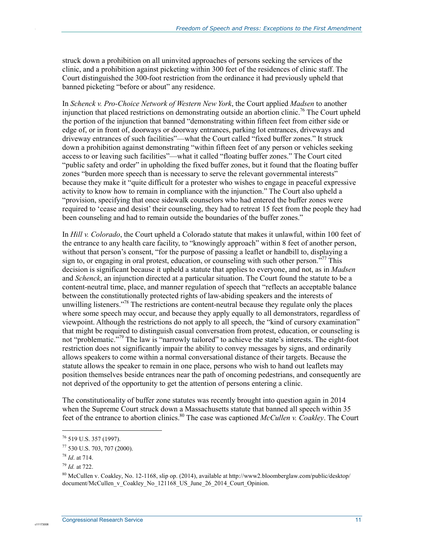struck down a prohibition on all uninvited approaches of persons seeking the services of the clinic, and a prohibition against picketing within 300 feet of the residences of clinic staff. The Court distinguished the 300-foot restriction from the ordinance it had previously upheld that banned picketing "before or about" any residence.

In *Schenck v. Pro-Choice Network of Western New York*, the Court applied *Madsen* to another injunction that placed restrictions on demonstrating outside an abortion clinic.<sup>76</sup> The Court upheld the portion of the injunction that banned "demonstrating within fifteen feet from either side or edge of, or in front of, doorways or doorway entrances, parking lot entrances, driveways and driveway entrances of such facilities"—what the Court called "fixed buffer zones." It struck down a prohibition against demonstrating "within fifteen feet of any person or vehicles seeking access to or leaving such facilities"—what it called "floating buffer zones." The Court cited "public safety and order" in upholding the fixed buffer zones, but it found that the floating buffer zones "burden more speech than is necessary to serve the relevant governmental interests" because they make it "quite difficult for a protester who wishes to engage in peaceful expressive activity to know how to remain in compliance with the injunction." The Court also upheld a "provision, specifying that once sidewalk counselors who had entered the buffer zones were required to 'cease and desist' their counseling, they had to retreat 15 feet from the people they had been counseling and had to remain outside the boundaries of the buffer zones."

In *Hill v. Colorado*, the Court upheld a Colorado statute that makes it unlawful, within 100 feet of the entrance to any health care facility, to "knowingly approach" within 8 feet of another person, without that person's consent, "for the purpose of passing a leaflet or handbill to, displaying a sign to, or engaging in oral protest, education, or counseling with such other person."<sup>77</sup> This decision is significant because it upheld a statute that applies to everyone, and not, as in *Madsen* and *Schenck*, an injunction directed at a particular situation. The Court found the statute to be a content-neutral time, place, and manner regulation of speech that "reflects an acceptable balance between the constitutionally protected rights of law-abiding speakers and the interests of unwilling listeners."<sup>78</sup> The restrictions are content-neutral because they regulate only the places where some speech may occur, and because they apply equally to all demonstrators, regardless of viewpoint. Although the restrictions do not apply to all speech, the "kind of cursory examination" that might be required to distinguish casual conversation from protest, education, or counseling is not "problematic."<sup>79</sup> The law is "narrowly tailored" to achieve the state's interests. The eight-foot restriction does not significantly impair the ability to convey messages by signs, and ordinarily allows speakers to come within a normal conversational distance of their targets. Because the statute allows the speaker to remain in one place, persons who wish to hand out leaflets may position themselves beside entrances near the path of oncoming pedestrians, and consequently are not deprived of the opportunity to get the attention of persons entering a clinic.

The constitutionality of buffer zone statutes was recently brought into question again in 2014 when the Supreme Court struck down a Massachusetts statute that banned all speech within 35 feet of the entrance to abortion clinics.<sup>80</sup> The case was captioned *McCullen v. Coakley*. The Court

 $\overline{a}$ 

c11173008

<sup>76 519</sup> U.S. 357 (1997).

<sup>77 530</sup> U.S. 703, 707 (2000).

<sup>78</sup> *Id*. at 714.

<sup>79</sup> *Id.* at 722.

<sup>80</sup> McCullen v. Coakley, No. 12-1168, slip op. (2014), available at http://www2.bloomberglaw.com/public/desktop/ document/McCullen\_v\_Coakley\_No\_121168\_US\_June\_26\_2014\_Court\_Opinion.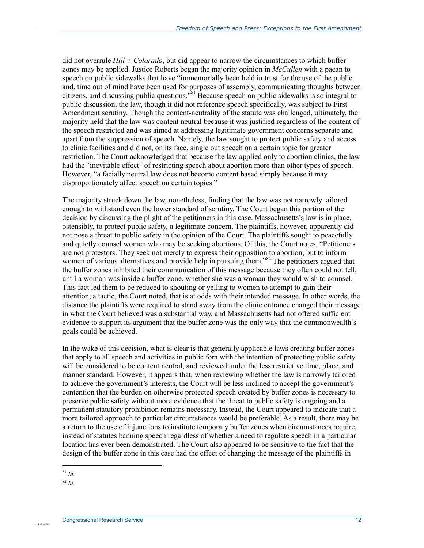did not overrule *Hill v. Colorado*, but did appear to narrow the circumstances to which buffer zones may be applied. Justice Roberts began the majority opinion in *McCullen* with a paean to speech on public sidewalks that have "immemorially been held in trust for the use of the public and, time out of mind have been used for purposes of assembly, communicating thoughts between citizens, and discussing public questions."81 Because speech on public sidewalks is so integral to public discussion, the law, though it did not reference speech specifically, was subject to First Amendment scrutiny. Though the content-neutrality of the statute was challenged, ultimately, the majority held that the law was content neutral because it was justified regardless of the content of the speech restricted and was aimed at addressing legitimate government concerns separate and apart from the suppression of speech. Namely, the law sought to protect public safety and access to clinic facilities and did not, on its face, single out speech on a certain topic for greater restriction. The Court acknowledged that because the law applied only to abortion clinics, the law had the "inevitable effect" of restricting speech about abortion more than other types of speech. However, "a facially neutral law does not become content based simply because it may disproportionately affect speech on certain topics."

The majority struck down the law, nonetheless, finding that the law was not narrowly tailored enough to withstand even the lower standard of scrutiny. The Court began this portion of the decision by discussing the plight of the petitioners in this case. Massachusetts's law is in place, ostensibly, to protect public safety, a legitimate concern. The plaintiffs, however, apparently did not pose a threat to public safety in the opinion of the Court. The plaintiffs sought to peacefully and quietly counsel women who may be seeking abortions. Of this, the Court notes, "Petitioners are not protestors. They seek not merely to express their opposition to abortion, but to inform women of various alternatives and provide help in pursuing them.<sup>382</sup> The petitioners argued that the buffer zones inhibited their communication of this message because they often could not tell, until a woman was inside a buffer zone, whether she was a woman they would wish to counsel. This fact led them to be reduced to shouting or yelling to women to attempt to gain their attention, a tactic, the Court noted, that is at odds with their intended message. In other words, the distance the plaintiffs were required to stand away from the clinic entrance changed their message in what the Court believed was a substantial way, and Massachusetts had not offered sufficient evidence to support its argument that the buffer zone was the only way that the commonwealth's goals could be achieved.

In the wake of this decision, what is clear is that generally applicable laws creating buffer zones that apply to all speech and activities in public fora with the intention of protecting public safety will be considered to be content neutral, and reviewed under the less restrictive time, place, and manner standard. However, it appears that, when reviewing whether the law is narrowly tailored to achieve the government's interests, the Court will be less inclined to accept the government's contention that the burden on otherwise protected speech created by buffer zones is necessary to preserve public safety without more evidence that the threat to public safety is ongoing and a permanent statutory prohibition remains necessary. Instead, the Court appeared to indicate that a more tailored approach to particular circumstances would be preferable. As a result, there may be a return to the use of injunctions to institute temporary buffer zones when circumstances require, instead of statutes banning speech regardless of whether a need to regulate speech in a particular location has ever been demonstrated. The Court also appeared to be sensitive to the fact that the design of the buffer zone in this case had the effect of changing the message of the plaintiffs in

1 <sup>81</sup> *Id*.

.

<sup>82</sup> *Id*.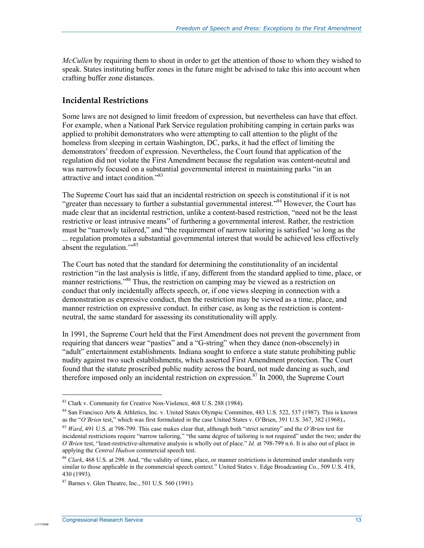*McCullen* by requiring them to shout in order to get the attention of those to whom they wished to speak. States instituting buffer zones in the future might be advised to take this into account when crafting buffer zone distances.

#### **Incidental Restrictions**

.

Some laws are not designed to limit freedom of expression, but nevertheless can have that effect. For example, when a National Park Service regulation prohibiting camping in certain parks was applied to prohibit demonstrators who were attempting to call attention to the plight of the homeless from sleeping in certain Washington, DC, parks, it had the effect of limiting the demonstrators' freedom of expression. Nevertheless, the Court found that application of the regulation did not violate the First Amendment because the regulation was content-neutral and was narrowly focused on a substantial governmental interest in maintaining parks "in an attractive and intact condition."<sup>83</sup>

The Supreme Court has said that an incidental restriction on speech is constitutional if it is not "greater than necessary to further a substantial governmental interest."84 However, the Court has made clear that an incidental restriction, unlike a content-based restriction, "need not be the least restrictive or least intrusive means" of furthering a governmental interest. Rather, the restriction must be "narrowly tailored," and "the requirement of narrow tailoring is satisfied 'so long as the ... regulation promotes a substantial governmental interest that would be achieved less effectively absent the regulation."<sup>85</sup>

The Court has noted that the standard for determining the constitutionality of an incidental restriction "in the last analysis is little, if any, different from the standard applied to time, place, or manner restrictions.<sup>786</sup> Thus, the restriction on camping may be viewed as a restriction on conduct that only incidentally affects speech, or, if one views sleeping in connection with a demonstration as expressive conduct, then the restriction may be viewed as a time, place, and manner restriction on expressive conduct. In either case, as long as the restriction is contentneutral, the same standard for assessing its constitutionality will apply.

In 1991, the Supreme Court held that the First Amendment does not prevent the government from requiring that dancers wear "pasties" and a "G-string" when they dance (non-obscenely) in "adult" entertainment establishments. Indiana sought to enforce a state statute prohibiting public nudity against two such establishments, which asserted First Amendment protection. The Court found that the statute proscribed public nudity across the board, not nude dancing as such, and therefore imposed only an incidental restriction on expression.<sup>87</sup> In 2000, the Supreme Court

 $\overline{a}$ 

<sup>83</sup> Clark v. Community for Creative Non-Violence, 468 U.S. 288 (1984).

<sup>&</sup>lt;sup>84</sup> San Francisco Arts & Athletics, Inc. v. United States Olympic Committee, 483 U.S. 522, 537 (1987). This is known as the "*O'Brien* test," which was first formulated in the case United States v. O'Brien, 391 U.S. 367, 382 (1968).**.** 

<sup>85</sup> *Ward*, 491 U.S. at 798-799. This case makes clear that, although both "strict scrutiny" and the *O'Brien* test for incidental restrictions require "narrow tailoring," "the same degree of tailoring is not required" under the two; under the *O'Brien* test, "least-restrictive-alternative analysis is wholly out of place." *Id.* at 798-799 n.6. It is also out of place in applying the *Central Hudson* commercial speech test.

<sup>86</sup> *Clark*, 468 U.S. at 298. And, "the validity of time, place, or manner restrictions is determined under standards very similar to those applicable in the commercial speech context." United States v. Edge Broadcasting Co., 509 U.S. 418, 430 (1993).

 $87$  Barnes v. Glen Theatre, Inc., 501 U.S. 560 (1991).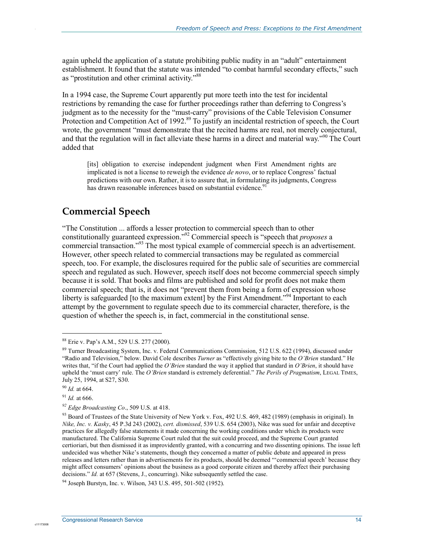again upheld the application of a statute prohibiting public nudity in an "adult" entertainment establishment. It found that the statute was intended "to combat harmful secondary effects," such as "prostitution and other criminal activity."<sup>88</sup>

In a 1994 case, the Supreme Court apparently put more teeth into the test for incidental restrictions by remanding the case for further proceedings rather than deferring to Congress's judgment as to the necessity for the "must-carry" provisions of the Cable Television Consumer Protection and Competition Act of 1992.<sup>89</sup> To justify an incidental restriction of speech, the Court wrote, the government "must demonstrate that the recited harms are real, not merely conjectural. and that the regulation will in fact alleviate these harms in a direct and material way."90 The Court added that

[its] obligation to exercise independent judgment when First Amendment rights are implicated is not a license to reweigh the evidence *de novo*, or to replace Congress' factual predictions with our own. Rather, it is to assure that, in formulating its judgments, Congress has drawn reasonable inferences based on substantial evidence.<sup>91</sup>

#### **Commercial Speech**

"The Constitution ... affords a lesser protection to commercial speech than to other constitutionally guaranteed expression."92 Commercial speech is "speech that *proposes* a commercial transaction."93 The most typical example of commercial speech is an advertisement. However, other speech related to commercial transactions may be regulated as commercial speech, too. For example, the disclosures required for the public sale of securities are commercial speech and regulated as such. However, speech itself does not become commercial speech simply because it is sold. That books and films are published and sold for profit does not make them commercial speech; that is, it does not "prevent them from being a form of expression whose liberty is safeguarded [to the maximum extent] by the First Amendment."<sup>94</sup> Important to each attempt by the government to regulate speech due to its commercial character, therefore, is the question of whether the speech is, in fact, commercial in the constitutional sense.

 $\overline{a}$ 

c11173008

<sup>88</sup> Erie v. Pap's A.M., 529 U.S. 277 (2000).

<sup>&</sup>lt;sup>89</sup> Turner Broadcasting System, Inc. v. Federal Communications Commission, 512 U.S. 622 (1994), discussed under "Radio and Television," below. David Cole describes *Turner* as "effectively giving bite to the *O'Brien* standard." He writes that, "if the Court had applied the *O'Brien* standard the way it applied that standard in *O'Brien*, it should have upheld the 'must carry' rule. The *O'Brien* standard is extremely deferential." *The Perils of Pragmatism*, LEGAL TIMES, July 25, 1994, at S27, S30.

<sup>90</sup> *Id.* at 664.

<sup>91</sup> *Id.* at 666.

*<sup>92</sup> Edge Broadcasting Co*., 509 U.S. at 418.

 $93$  Board of Trustees of the State University of New York v. Fox, 492 U.S. 469, 482 (1989) (emphasis in original). In *Nike, Inc. v. Kasky*, 45 P.3d 243 (2002), *cert. dismissed*, 539 U.S. 654 (2003), Nike was sued for unfair and deceptive practices for allegedly false statements it made concerning the working conditions under which its products were manufactured. The California Supreme Court ruled that the suit could proceed, and the Supreme Court granted certioriari, but then dismissed it as improvidently granted, with a concurring and two dissenting opinions. The issue left undecided was whether Nike's statements, though they concerned a matter of public debate and appeared in press releases and letters rather than in advertisements for its products, should be deemed "'commercial speech' because they might affect consumers' opinions about the business as a good corporate citizen and thereby affect their purchasing decisions." *Id.* at 657 (Stevens, J., concurring). Nike subsequently settled the case.

<sup>94</sup> Joseph Burstyn, Inc. v. Wilson, 343 U.S. 495, 501-502 (1952).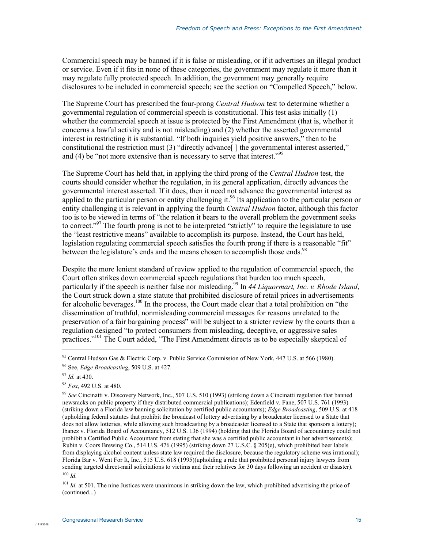Commercial speech may be banned if it is false or misleading, or if it advertises an illegal product or service. Even if it fits in none of these categories, the government may regulate it more than it may regulate fully protected speech. In addition, the government may generally require disclosures to be included in commercial speech; see the section on "Compelled Speech," below.

The Supreme Court has prescribed the four-prong *Central Hudson* test to determine whether a governmental regulation of commercial speech is constitutional. This test asks initially (1) whether the commercial speech at issue is protected by the First Amendment (that is, whether it concerns a lawful activity and is not misleading) and (2) whether the asserted governmental interest in restricting it is substantial. "If both inquiries yield positive answers," then to be constitutional the restriction must (3) "directly advance<sup>[]</sup> the governmental interest asserted," and (4) be "not more extensive than is necessary to serve that interest."<sup>95</sup>

The Supreme Court has held that, in applying the third prong of the *Central Hudson* test, the courts should consider whether the regulation, in its general application, directly advances the governmental interest asserted. If it does, then it need not advance the governmental interest as applied to the particular person or entity challenging it.<sup>96</sup> Its application to the particular person or entity challenging it is relevant in applying the fourth *Central Hudson* factor, although this factor too is to be viewed in terms of "the relation it bears to the overall problem the government seeks to correct."<sup>97</sup> The fourth prong is not to be interpreted "strictly" to require the legislature to use the "least restrictive means" available to accomplish its purpose. Instead, the Court has held, legislation regulating commercial speech satisfies the fourth prong if there is a reasonable "fit" between the legislature's ends and the means chosen to accomplish those ends.<sup>98</sup>

Despite the more lenient standard of review applied to the regulation of commercial speech, the Court often strikes down commercial speech regulations that burden too much speech, particularly if the speech is neither false nor misleading.<sup>99</sup> In 44 Liquormart, Inc. v. Rhode Island, the Court struck down a state statute that prohibited disclosure of retail prices in advertisements for alcoholic beverages.<sup>100</sup> In the process, the Court made clear that a total prohibition on "the dissemination of truthful, nonmisleading commercial messages for reasons unrelated to the preservation of a fair bargaining process" will be subject to a stricter review by the courts than a regulation designed "to protect consumers from misleading, deceptive, or aggressive sales practices."<sup>101</sup> The Court added, "The First Amendment directs us to be especially skeptical of

 $\overline{a}$ 

c11173008

<sup>95</sup> Central Hudson Gas & Electric Corp. v. Public Service Commission of New York, 447 U.S. at 566 (1980).

<sup>96</sup> See, *Edge Broadcasting*, 509 U.S. at 427.

<sup>97</sup> *Id.* at 430.

<sup>98</sup> *Fox*, 492 U.S. at 480.

<sup>99</sup> *See* Cincinatti v. Discovery Network, Inc., 507 U.S. 510 (1993) (striking down a Cincinatti regulation that banned newsracks on public property if they distributed commercial publications); Edenfield v. Fane, 507 U.S. 761 (1993) (striking down a Florida law banning solicitation by certified public accountants); *Edge Broadcasting*, 509 U.S. at 418 (upholding federal statutes that prohibit the broadcast of lottery advertising by a broadcaster licensed to a State that does not allow lotteries, while allowing such broadcasting by a broadcaster licensed to a State that sponsors a lottery); Ibanez v. Florida Board of Accountancy, 512 U.S. 136 (1994) (holding that the Florida Board of accountancy could not prohibit a Certified Public Accountant from stating that she was a certified public accountant in her advertisements); Rubin v. Coors Brewing Co., 514 U.S. 476 (1995) (striking down 27 U.S.C. § 205(e), which prohibited beer labels from displaying alcohol content unless state law required the disclosure, because the regulatory scheme was irrational); Florida Bar v. Went For It, Inc., 515 U.S. 618 (1995)(upholding a rule that prohibited personal injury lawyers from sending targeted direct-mail solicitations to victims and their relatives for 30 days following an accident or disaster). <sup>100</sup> *Id.*

<sup>&</sup>lt;sup>101</sup> *Id.* at 501. The nine Justices were unanimous in striking down the law, which prohibited advertising the price of (continued...)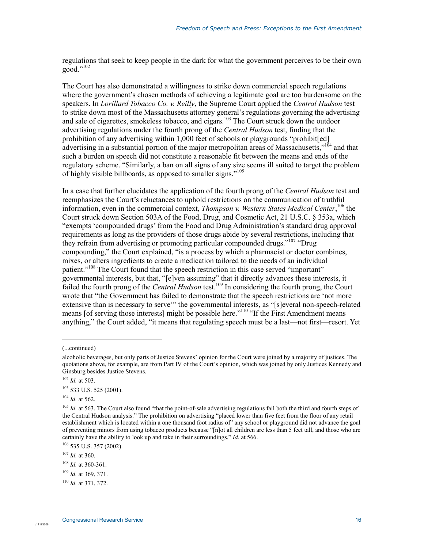regulations that seek to keep people in the dark for what the government perceives to be their own good."<sup>102</sup>

The Court has also demonstrated a willingness to strike down commercial speech regulations where the government's chosen methods of achieving a legitimate goal are too burdensome on the speakers. In *Lorillard Tobacco Co. v. Reilly*, the Supreme Court applied the *Central Hudson* test to strike down most of the Massachusetts attorney general's regulations governing the advertising and sale of cigarettes, smokeless tobacco, and cigars.<sup>103</sup> The Court struck down the outdoor advertising regulations under the fourth prong of the *Central Hudson* test, finding that the prohibition of any advertising within 1,000 feet of schools or playgrounds "prohibit[ed] advertising in a substantial portion of the major metropolitan areas of Massachusetts,"104 and that such a burden on speech did not constitute a reasonable fit between the means and ends of the regulatory scheme. "Similarly, a ban on all signs of any size seems ill suited to target the problem of highly visible billboards, as opposed to smaller signs."105

In a case that further elucidates the application of the fourth prong of the *Central Hudson* test and reemphasizes the Court's reluctances to uphold restrictions on the communication of truthful information, even in the commercial context, *Thompson v. Western States Medical Center*,<sup>106</sup> the Court struck down Section 503A of the Food, Drug, and Cosmetic Act, 21 U.S.C. § 353a, which "exempts 'compounded drugs' from the Food and Drug Administration's standard drug approval requirements as long as the providers of those drugs abide by several restrictions, including that they refrain from advertising or promoting particular compounded drugs."<sup>107</sup> "Drug compounding," the Court explained, "is a process by which a pharmacist or doctor combines, mixes, or alters ingredients to create a medication tailored to the needs of an individual patient."<sup>108</sup> The Court found that the speech restriction in this case served "important" governmental interests, but that, "[e]ven assuming" that it directly advances these interests, it failed the fourth prong of the *Central Hudson* test.<sup>109</sup> In considering the fourth prong, the Court wrote that "the Government has failed to demonstrate that the speech restrictions are 'not more extensive than is necessary to serve'" the governmental interests, as "[s]everal non-speech-related means [of serving those interests] might be possible here."<sup>110</sup> "If the First Amendment means anything," the Court added, "it means that regulating speech must be a last—not first—resort. Yet

 $\overline{a}$ 

.

<sup>(...</sup>continued)

alcoholic beverages, but only parts of Justice Stevens' opinion for the Court were joined by a majority of justices. The quotations above, for example, are from Part IV of the Court's opinion, which was joined by only Justices Kennedy and Ginsburg besides Justice Stevens.

<sup>102</sup> *Id.* at 503.

<sup>103 533</sup> U.S. 525 (2001).

 $104$  *Id.* at 562.

<sup>&</sup>lt;sup>105</sup> *Id.* at 563. The Court also found "that the point-of-sale advertising regulations fail both the third and fourth steps of the Central Hudson analysis." The prohibition on advertising "placed lower than five feet from the floor of any retail establishment which is located within a one thousand foot radius of" any school or playground did not advance the goal of preventing minors from using tobacco products because "[n]ot all children are less than 5 feet tall, and those who are certainly have the ability to look up and take in their surroundings." *Id*. at 566.

<sup>106 535</sup> U.S. 357 (2002).

<sup>107</sup> *Id.* at 360.

<sup>108</sup> *Id.* at 360-361.

<sup>109</sup> *Id.* at 369, 371.

<sup>110</sup> *Id.* at 371, 372.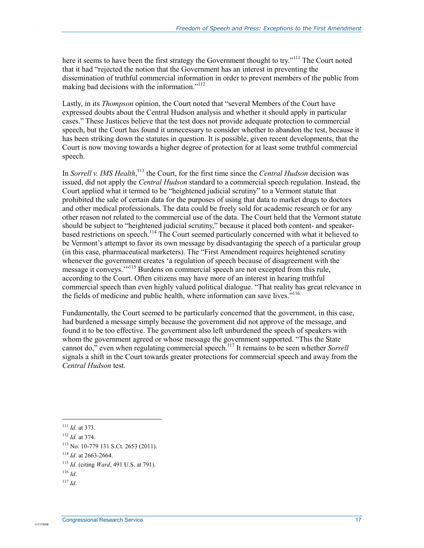here it seems to have been the first strategy the Government thought to try."<sup>111</sup> The Court noted that it had "rejected the notion that the Government has an interest in preventing the dissemination of truthful commercial information in order to prevent members of the public from making bad decisions with the information."<sup>112</sup>

Lastly, in its *Thompson* opinion, the Court noted that "several Members of the Court have expressed doubts about the Central Hudson analysis and whether it should apply in particular cases." These Justices believe that the test does not provide adequate protection to commercial speech, but the Court has found it unnecessary to consider whether to abandon the test, because it has been striking down the statutes in question. It is possible, given recent developments, that the Court is now moving towards a higher degree of protection for at least some truthful commercial speech.

In *Sorrell v. IMS Health*, 113 the Court, for the first time since the *Central Hudson* decision was issued, did not apply the *Central Hudson* standard to a commercial speech regulation. Instead, the Court applied what it termed to be "heightened judicial scrutiny" to a Vermont statute that prohibited the sale of certain data for the purposes of using that data to market drugs to doctors and other medical professionals. The data could be freely sold for academic research or for any other reason not related to the commercial use of the data. The Court held that the Vermont statute should be subject to "heightened judicial scrutiny," because it placed both content- and speakerbased restrictions on speech.<sup>114</sup> The Court seemed particularly concerned with what it believed to be Vermont's attempt to favor its own message by disadvantaging the speech of a particular group (in this case, pharmaceutical marketers). The "First Amendment requires heightened scrutiny whenever the government creates 'a regulation of speech because of disagreement with the message it conveys.'"115 Burdens on commercial speech are not excepted from this rule, according to the Court. Often citizens may have more of an interest in hearing truthful commercial speech than even highly valued political dialogue. "That reality has great relevance in the fields of medicine and public health, where information can save lives.<sup> $5116$ </sup>

Fundamentally, the Court seemed to be particularly concerned that the government, in this case, had burdened a message simply because the government did not approve of the message, and found it to be too effective. The government also left unburdened the speech of speakers with whom the government agreed or whose message the government supported. "This the State cannot do," even when regulating commercial speech.<sup>117</sup> It remains to be seen whether *Sorrell* signals a shift in the Court towards greater protections for commercial speech and away from the *Central Hudson* test.

1

.

<sup>111</sup> *Id.* at 373.

<sup>112</sup> *Id.* at 374.

<sup>113</sup> No. 10-779 131 S.Ct. 2653 (2011).

<sup>114</sup> *Id*. at 2663-2664.

<sup>115</sup> *Id*. (citing *Ward*, 491 U.S. at 791).

<sup>116</sup> *Id*.

<sup>117</sup> *Id*.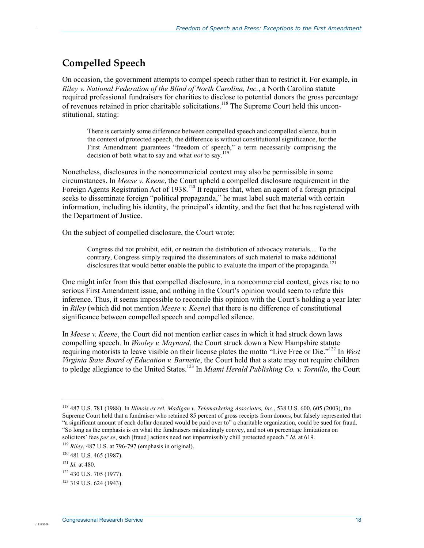### **Compelled Speech**

.

On occasion, the government attempts to compel speech rather than to restrict it. For example, in *Riley v. National Federation of the Blind of North Carolina, Inc.*, a North Carolina statute required professional fundraisers for charities to disclose to potential donors the gross percentage of revenues retained in prior charitable solicitations.<sup>118</sup> The Supreme Court held this unconstitutional, stating:

There is certainly some difference between compelled speech and compelled silence, but in the context of protected speech, the difference is without constitutional significance, for the First Amendment guarantees "freedom of speech," a term necessarily comprising the decision of both what to say and what *not* to say.<sup>119</sup>

Nonetheless, disclosures in the noncommericial context may also be permissible in some circumstances. In *Meese v. Keene*, the Court upheld a compelled disclosure requirement in the Foreign Agents Registration Act of 1938.<sup>120</sup> It requires that, when an agent of a foreign principal seeks to disseminate foreign "political propaganda," he must label such material with certain information, including his identity, the principal's identity, and the fact that he has registered with the Department of Justice.

On the subject of compelled disclosure, the Court wrote:

Congress did not prohibit, edit, or restrain the distribution of advocacy materials.... To the contrary, Congress simply required the disseminators of such material to make additional disclosures that would better enable the public to evaluate the import of the propaganda.<sup>121</sup>

One might infer from this that compelled disclosure, in a noncommercial context, gives rise to no serious First Amendment issue, and nothing in the Court's opinion would seem to refute this inference. Thus, it seems impossible to reconcile this opinion with the Court's holding a year later in *Riley* (which did not mention *Meese v. Keene*) that there is no difference of constitutional significance between compelled speech and compelled silence.

In *Meese v. Keene*, the Court did not mention earlier cases in which it had struck down laws compelling speech. In *Wooley v. Maynard*, the Court struck down a New Hampshire statute requiring motorists to leave visible on their license plates the motto "Live Free or Die."122 In *West Virginia State Board of Education v. Barnette*, the Court held that a state may not require children to pledge allegiance to the United States.123 In *Miami Herald Publishing Co. v. Tornillo*, the Court

1

<sup>118 487</sup> U.S. 781 (1988). In *Illinois ex rel. Madigan v. Telemarketing Associates, Inc.*, 538 U.S. 600, 605 (2003), the Supreme Court held that a fundraiser who retained 85 percent of gross receipts from donors, but falsely represented that "a significant amount of each dollar donated would be paid over to" a charitable organization, could be sued for fraud. "So long as the emphasis is on what the fundraisers misleadingly convey, and not on percentage limitations on solicitors' fees *per se*, such [fraud] actions need not impermissibly chill protected speech." *Id.* at 619.

<sup>119</sup> *Riley*, 487 U.S. at 796-797 (emphasis in original).

 $120$  481 U.S. 465 (1987).

<sup>121</sup> *Id.* at 480.

 $122$  430 U.S. 705 (1977).

<sup>123 319</sup> U.S. 624 (1943).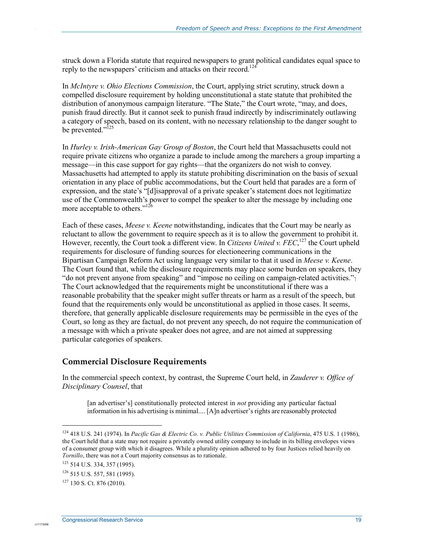struck down a Florida statute that required newspapers to grant political candidates equal space to reply to the newspapers' criticism and attacks on their record.<sup>124</sup>

In *McIntyre v. Ohio Elections Commission*, the Court, applying strict scrutiny, struck down a compelled disclosure requirement by holding unconstitutional a state statute that prohibited the distribution of anonymous campaign literature. "The State," the Court wrote, "may, and does, punish fraud directly. But it cannot seek to punish fraud indirectly by indiscriminately outlawing a category of speech, based on its content, with no necessary relationship to the danger sought to be prevented."<sup>125</sup>

In *Hurley v. Irish-American Gay Group of Boston*, the Court held that Massachusetts could not require private citizens who organize a parade to include among the marchers a group imparting a message—in this case support for gay rights—that the organizers do not wish to convey. Massachusetts had attempted to apply its statute prohibiting discrimination on the basis of sexual orientation in any place of public accommodations, but the Court held that parades are a form of expression, and the state's "[d]isapproval of a private speaker's statement does not legitimatize use of the Commonwealth's power to compel the speaker to alter the message by including one more acceptable to others."<sup>126</sup>

Each of these cases, *Meese v. Keene* notwithstanding, indicates that the Court may be nearly as reluctant to allow the government to require speech as it is to allow the government to prohibit it. However, recently, the Court took a different view. In *Citizens United v. FEC*,<sup>127</sup> the Court upheld requirements for disclosure of funding sources for electioneering communications in the Bipartisan Campaign Reform Act using language very similar to that it used in *Meese v. Keene*. The Court found that, while the disclosure requirements may place some burden on speakers, they "do not prevent anyone from speaking" and "impose no ceiling on campaign-related activities." - The Court acknowledged that the requirements might be unconstitutional if there was a reasonable probability that the speaker might suffer threats or harm as a result of the speech, but found that the requirements only would be unconstitutional as applied in those cases. It seems, therefore, that generally applicable disclosure requirements may be permissible in the eyes of the Court, so long as they are factual, do not prevent any speech, do not require the communication of a message with which a private speaker does not agree, and are not aimed at suppressing particular categories of speakers.

#### **Commercial Disclosure Requirements**

In the commercial speech context, by contrast, the Supreme Court held, in *Zauderer v. Office of Disciplinary Counsel*, that

[an advertiser's] constitutionally protected interest in *not* providing any particular factual information in his advertising is minimal.... [A]n advertiser's rights are reasonably protected

1

c11173008

<sup>124 418</sup> U.S. 241 (1974). In *Pacific Gas & Electric Co. v. Public Utilities Commission of California*, 475 U.S. 1 (1986), the Court held that a state may not require a privately owned utility company to include in its billing envelopes views of a consumer group with which it disagrees. While a plurality opinion adhered to by four Justices relied heavily on *Tornillo*, there was not a Court majority consensus as to rationale.

<sup>125 514</sup> U.S. 334, 357 (1995).

 $126$  515 U.S. 557, 581 (1995).

 $127$  130 S. Ct. 876 (2010).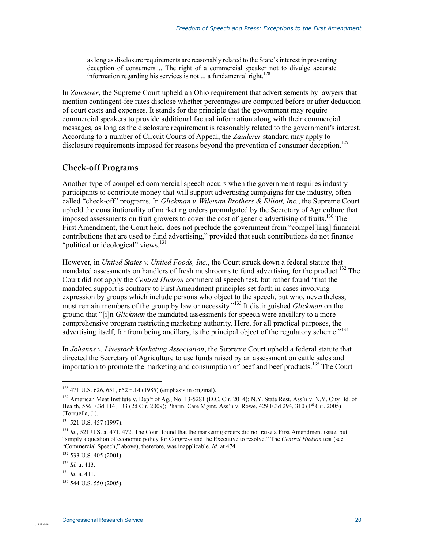as long as disclosure requirements are reasonably related to the State's interest in preventing deception of consumers.... The right of a commercial speaker not to divulge accurate information regarding his services is not ... a fundamental right.<sup>128</sup>

In *Zauderer*, the Supreme Court upheld an Ohio requirement that advertisements by lawyers that mention contingent-fee rates disclose whether percentages are computed before or after deduction of court costs and expenses. It stands for the principle that the government may require commercial speakers to provide additional factual information along with their commercial messages, as long as the disclosure requirement is reasonably related to the government's interest. According to a number of Circuit Courts of Appeal, the *Zauderer* standard may apply to disclosure requirements imposed for reasons beyond the prevention of consumer deception.<sup>129</sup>

#### **Check-off Programs**

.

Another type of compelled commercial speech occurs when the government requires industry participants to contribute money that will support advertising campaigns for the industry, often called "check-off" programs. In *Glickman v. Wileman Brothers & Elliott, Inc.*, the Supreme Court upheld the constitutionality of marketing orders promulgated by the Secretary of Agriculture that imposed assessments on fruit growers to cover the cost of generic advertising of fruits.<sup>130</sup> The First Amendment, the Court held, does not preclude the government from "compel[ling] financial contributions that are used to fund advertising," provided that such contributions do not finance "political or ideological" views.<sup>131</sup>

However, in *United States v. United Foods, Inc.*, the Court struck down a federal statute that mandated assessments on handlers of fresh mushrooms to fund advertising for the product.<sup>132</sup> The Court did not apply the *Central Hudson* commercial speech test, but rather found "that the mandated support is contrary to First Amendment principles set forth in cases involving expression by groups which include persons who object to the speech, but who, nevertheless, must remain members of the group by law or necessity."133 It distinguished *Glickman* on the ground that "[i]n *Glickman* the mandated assessments for speech were ancillary to a more comprehensive program restricting marketing authority. Here, for all practical purposes, the advertising itself, far from being ancillary, is the principal object of the regulatory scheme."<sup>134</sup>

In *Johanns v. Livestock Marketing Association*, the Supreme Court upheld a federal statute that directed the Secretary of Agriculture to use funds raised by an assessment on cattle sales and importation to promote the marketing and consumption of beef and beef products.<sup>135</sup> The Court

1

<sup>128 471</sup> U.S. 626, 651, 652 n.14 (1985) (emphasis in original).

<sup>&</sup>lt;sup>129</sup> American Meat Institute v. Dep't of Ag., No. 13-5281 (D.C. Cir. 2014); N.Y. State Rest. Ass'n v. N.Y. City Bd. of Health, 556 F.3d 114, 133 (2d Cir. 2009); Pharm. Care Mgmt. Ass'n v. Rowe, 429 F.3d 294, 310 (1st Cir. 2005) (Torruella, J.).

<sup>130 521</sup> U.S. 457 (1997).

<sup>&</sup>lt;sup>131</sup> *Id.*, 521 U.S. at 471, 472. The Court found that the marketing orders did not raise a First Amendment issue, but "simply a question of economic policy for Congress and the Executive to resolve." The *Central Hudson* test (see "Commercial Speech," above), therefore, was inapplicable. *Id.* at 474.

 $132$  533 U.S. 405 (2001).

<sup>133</sup> *Id.* at 413.

<sup>134</sup> *Id.* at 411.

<sup>135 544</sup> U.S. 550 (2005).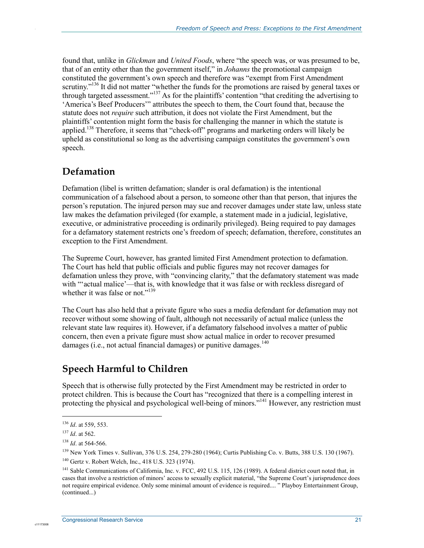found that, unlike in *Glickman* and *United Foods*, where "the speech was, or was presumed to be, that of an entity other than the government itself," in *Johanns* the promotional campaign constituted the government's own speech and therefore was "exempt from First Amendment scrutiny."<sup>136</sup> It did not matter "whether the funds for the promotions are raised by general taxes or through targeted assessment."137 As for the plaintiffs' contention "that crediting the advertising to 'America's Beef Producers'" attributes the speech to them, the Court found that, because the statute does not *require* such attribution, it does not violate the First Amendment, but the plaintiffs' contention might form the basis for challenging the manner in which the statute is applied.<sup>138</sup> Therefore, it seems that "check-off" programs and marketing orders will likely be upheld as constitutional so long as the advertising campaign constitutes the government's own speech.

#### **Defamation**

.

Defamation (libel is written defamation; slander is oral defamation) is the intentional communication of a falsehood about a person, to someone other than that person, that injures the person's reputation. The injured person may sue and recover damages under state law, unless state law makes the defamation privileged (for example, a statement made in a judicial, legislative, executive, or administrative proceeding is ordinarily privileged). Being required to pay damages for a defamatory statement restricts one's freedom of speech; defamation, therefore, constitutes an exception to the First Amendment.

The Supreme Court, however, has granted limited First Amendment protection to defamation. The Court has held that public officials and public figures may not recover damages for defamation unless they prove, with "convincing clarity," that the defamatory statement was made with ""actual malice"—that is, with knowledge that it was false or with reckless disregard of whether it was false or not."<sup>139</sup>

The Court has also held that a private figure who sues a media defendant for defamation may not recover without some showing of fault, although not necessarily of actual malice (unless the relevant state law requires it). However, if a defamatory falsehood involves a matter of public concern, then even a private figure must show actual malice in order to recover presumed damages (i.e., not actual financial damages) or punitive damages. $140$ 

### **Speech Harmful to Children**

Speech that is otherwise fully protected by the First Amendment may be restricted in order to protect children. This is because the Court has "recognized that there is a compelling interest in protecting the physical and psychological well-being of minors."<sup>141</sup> However, any restriction must

1

<sup>136</sup> *Id*. at 559, 553.

<sup>137</sup> *Id*. at 562.

<sup>138</sup> *Id*. at 564-566.

<sup>139</sup> New York Times v. Sullivan, 376 U.S. 254, 279-280 (1964); Curtis Publishing Co. v. Butts, 388 U.S. 130 (1967).

<sup>140</sup> Gertz v. Robert Welch, Inc., 418 U.S. 323 (1974).

<sup>&</sup>lt;sup>141</sup> Sable Communications of California, Inc. v. FCC, 492 U.S. 115, 126 (1989). A federal district court noted that, in cases that involve a restriction of minors' access to sexually explicit material, "the Supreme Court's jurisprudence does not require empirical evidence. Only some minimal amount of evidence is required.... " Playboy Entertainment Group, (continued...)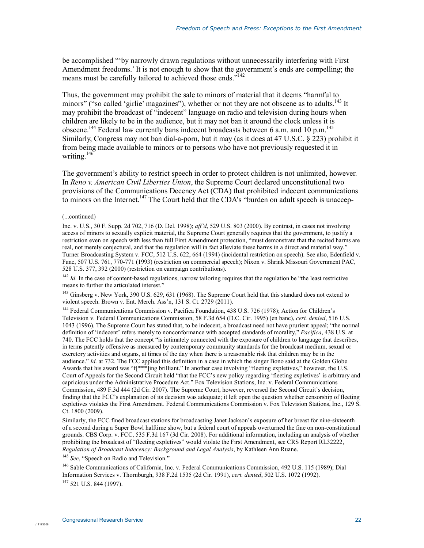be accomplished "'by narrowly drawn regulations without unnecessarily interfering with First Amendment freedoms.' It is not enough to show that the government's ends are compelling; the means must be carefully tailored to achieved those ends."<sup>142</sup>

Thus, the government may prohibit the sale to minors of material that it deems "harmful to minors" ("so called 'girlie' magazines"), whether or not they are not obscene as to adults.<sup>143</sup> It may prohibit the broadcast of "indecent" language on radio and television during hours when children are likely to be in the audience, but it may not ban it around the clock unless it is obscene.<sup>144</sup> Federal law currently bans indecent broadcasts between 6 a.m. and 10 p.m.<sup>145</sup> Similarly, Congress may not ban dial-a-porn, but it may (as it does at 47 U.S.C.  $\S$  223) prohibit it from being made available to minors or to persons who have not previously requested it in writing. $146$ 

The government's ability to restrict speech in order to protect children is not unlimited, however. In *Reno v. American Civil Liberties Union*, the Supreme Court declared unconstitutional two provisions of the Communications Decency Act (CDA) that prohibited indecent communications to minors on the Internet.<sup>147</sup> The Court held that the CDA's "burden on adult speech is unaccep-

.

<sup>142</sup> *Id.* In the case of content-based regulations, narrow tailoring requires that the regulation be "the least restrictive means to further the articulated interest."

<sup>143</sup> Ginsberg v. New York, 390 U.S. 629, 631 (1968). The Supreme Court held that this standard does not extend to violent speech. Brown v. Ent. Merch. Ass'n, 131 S. Ct. 2729 (2011).

<sup>144</sup> Federal Communications Commission v. Pacifica Foundation, 438 U.S. 726 (1978); Action for Children's Television v. Federal Communications Commission, 58 F.3d 654 (D.C. Cir. 1995) (en banc), *cert. denied*, 516 U.S. 1043 (1996). The Supreme Court has stated that, to be indecent, a broadcast need not have prurient appeal; "the normal definition of 'indecent' refers merely to nonconformance with accepted standards of morality," *Pacifica*, 438 U.S. at 740. The FCC holds that the concept "is intimately connected with the exposure of children to language that describes, in terms patently offensive as measured by contemporary community standards for the broadcast medium, sexual or excretory activities and organs, at times of the day when there is a reasonable risk that children may be in the audience." *Id.* at 732. The FCC applied this definition in a case in which the singer Bono said at the Golden Globe Awards that his award was "f[\*\*\*]ing brilliant." In another case involving "fleeting expletives," however, the U.S. Court of Appeals for the Second Circuit held "that the FCC's new policy regarding 'fleeting expletives' is arbitrary and capricious under the Administrative Procedure Act." Fox Television Stations, Inc. v. Federal Communications Commission, 489 F.3d 444 (2d Cir. 2007). The Supreme Court, however, reversed the Second Circuit's decision, finding that the FCC's explanation of its decision was adequate; it left open the question whether censorship of fleeting expletives violates the First Amendment. Federal Communications Commission v. Fox Television Stations, Inc., 129 S. Ct. 1800 (2009).

Similarly, the FCC fined broadcast stations for broadcasting Janet Jackson's exposure of her breast for nine-sixteenth of a second during a Super Bowl halftime show, but a federal court of appeals overturned the fine on non-constitutional grounds. CBS Corp. v. FCC, 535 F.3d 167 (3d Cir. 2008). For additional information, including an analysis of whether prohibiting the broadcast of "fleeting expletives" would violate the First Amendment, see CRS Report RL32222, *Regulation of Broadcast Indecency: Background and Legal Analysis*, by Kathleen Ann Ruane.

<sup>145</sup> *See*, "Speech on Radio and Television."

<sup>146</sup> Sable Communications of California, Inc. v. Federal Communications Commission, 492 U.S. 115 (1989); Dial Information Services v. Thornburgh, 938 F.2d 1535 (2d Cir. 1991), *cert. denied*, 502 U.S. 1072 (1992). <sup>147</sup> 521 U.S. 844 (1997).

<sup>(...</sup>continued)

Inc. v. U.S., 30 F. Supp. 2d 702, 716 (D. Del. 1998); *aff'd*, 529 U.S. 803 (2000). By contrast, in cases not involving access of minors to sexually explicit material, the Supreme Court generally requires that the government, to justify a restriction even on speech with less than full First Amendment protection, "must demonstrate that the recited harms are real, not merely conjectural, and that the regulation will in fact alleviate these harms in a direct and material way." Turner Broadcasting System v. FCC, 512 U.S. 622, 664 (1994) (incidental restriction on speech). See also, Edenfield v. Fane, 507 U.S. 761, 770-771 (1993) (restriction on commercial speech); Nixon v. Shrink Missouri Government PAC, 528 U.S. 377, 392 (2000) (restriction on campaign contributions).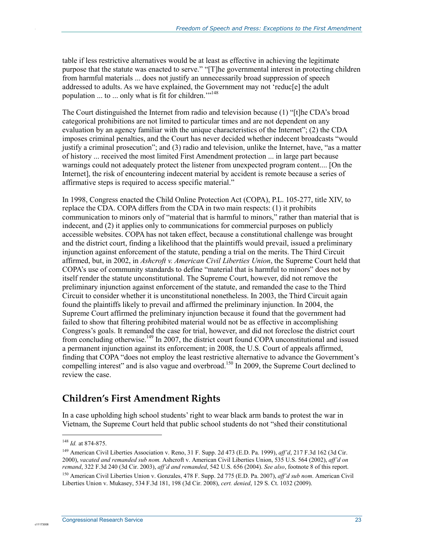table if less restrictive alternatives would be at least as effective in achieving the legitimate purpose that the statute was enacted to serve." "[T]he governmental interest in protecting children from harmful materials ... does not justify an unnecessarily broad suppression of speech addressed to adults. As we have explained, the Government may not 'reduc[e] the adult population ... to ... only what is fit for children.'"<sup>148</sup>

The Court distinguished the Internet from radio and television because (1) "[t]he CDA's broad categorical prohibitions are not limited to particular times and are not dependent on any evaluation by an agency familiar with the unique characteristics of the Internet"; (2) the CDA imposes criminal penalties, and the Court has never decided whether indecent broadcasts "would justify a criminal prosecution"; and (3) radio and television, unlike the Internet, have, "as a matter of history ... received the most limited First Amendment protection ... in large part because warnings could not adequately protect the listener from unexpected program content.... [On the Internet], the risk of encountering indecent material by accident is remote because a series of affirmative steps is required to access specific material."

In 1998, Congress enacted the Child Online Protection Act (COPA), P.L. 105-277, title XIV, to replace the CDA. COPA differs from the CDA in two main respects: (1) it prohibits communication to minors only of "material that is harmful to minors," rather than material that is indecent, and (2) it applies only to communications for commercial purposes on publicly accessible websites. COPA has not taken effect, because a constitutional challenge was brought and the district court, finding a likelihood that the plaintiffs would prevail, issued a preliminary injunction against enforcement of the statute, pending a trial on the merits. The Third Circuit affirmed, but, in 2002, in *Ashcroft v. American Civil Liberties Union*, the Supreme Court held that COPA's use of community standards to define "material that is harmful to minors" does not by itself render the statute unconstitutional. The Supreme Court, however, did not remove the preliminary injunction against enforcement of the statute, and remanded the case to the Third Circuit to consider whether it is unconstitutional nonetheless. In 2003, the Third Circuit again found the plaintiffs likely to prevail and affirmed the preliminary injunction. In 2004, the Supreme Court affirmed the preliminary injunction because it found that the government had failed to show that filtering prohibited material would not be as effective in accomplishing Congress's goals. It remanded the case for trial, however, and did not foreclose the district court from concluding otherwise.<sup>149</sup> In 2007, the district court found COPA unconstitutional and issued a permanent injunction against its enforcement; in 2008, the U.S. Court of appeals affirmed, finding that COPA "does not employ the least restrictive alternative to advance the Government's compelling interest" and is also vague and overbroad.<sup>150</sup> In 2009, the Supreme Court declined to review the case.

### **Children's First Amendment Rights**

In a case upholding high school students' right to wear black arm bands to protest the war in Vietnam, the Supreme Court held that public school students do not "shed their constitutional

 $\overline{a}$ 

c1117300

<sup>148</sup> *Id.* at 874-875.

<sup>149</sup> American Civil Liberties Association v. Reno, 31 F. Supp. 2d 473 (E.D. Pa. 1999), *aff'd*, 217 F.3d 162 (3d Cir. 2000), *vacated and remanded sub nom.* Ashcroft v. American Civil Liberties Union, 535 U.S. 564 (2002), *aff'd on remand*, 322 F.3d 240 (3d Cir. 2003), *aff'd and remanded*, 542 U.S. 656 (2004). *See also*, footnote 8 of this report. 150 American Civil Liberties Union v. Gonzales, 478 F. Supp. 2d 775 (E.D. Pa. 2007), *aff'd sub nom*. American Civil Liberties Union v. Mukasey, 534 F.3d 181, 198 (3d Cir. 2008), *cert. denied*, 129 S. Ct. 1032 (2009).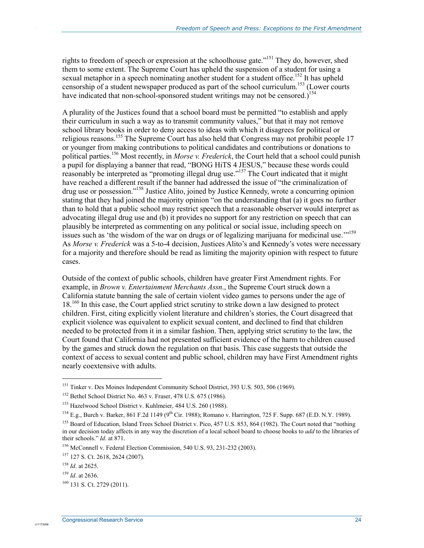rights to freedom of speech or expression at the schoolhouse gate."<sup>151</sup> They do, however, shed them to some extent. The Supreme Court has upheld the suspension of a student for using a sexual metaphor in a speech nominating another student for a student office.<sup>152</sup> It has upheld censorship of a student newspaper produced as part of the school curriculum.<sup>153</sup> (Lower courts have indicated that non-school-sponsored student writings may not be censored.)<sup>154</sup>

A plurality of the Justices found that a school board must be permitted "to establish and apply their curriculum in such a way as to transmit community values," but that it may not remove school library books in order to deny access to ideas with which it disagrees for political or religious reasons.155 The Supreme Court has also held that Congress may not prohibit people 17 or younger from making contributions to political candidates and contributions or donations to political parties.156 Most recently, in *Morse v. Frederick*, the Court held that a school could punish a pupil for displaying a banner that read, "BONG HiTS 4 JESUS," because these words could reasonably be interpreted as "promoting illegal drug use."<sup>157</sup> The Court indicated that it might have reached a different result if the banner had addressed the issue of "the criminalization of drug use or possession."158 Justice Alito, joined by Justice Kennedy, wrote a concurring opinion stating that they had joined the majority opinion "on the understanding that (a) it goes no further than to hold that a public school may restrict speech that a reasonable observer would interpret as advocating illegal drug use and (b) it provides no support for any restriction on speech that can plausibly be interpreted as commenting on any political or social issue, including speech on issues such as 'the wisdom of the war on drugs or of legalizing marijuana for medicinal use.'"159 As *Morse v. Frederick* was a 5-to-4 decision, Justices Alito's and Kennedy's votes were necessary for a majority and therefore should be read as limiting the majority opinion with respect to future cases.

Outside of the context of public schools, children have greater First Amendment rights. For example, in *Brown v. Entertainment Merchants Assn*., the Supreme Court struck down a California statute banning the sale of certain violent video games to persons under the age of 18<sup>.160</sup> In this case, the Court applied strict scrutiny to strike down a law designed to protect children. First, citing explicitly violent literature and children's stories, the Court disagreed that explicit violence was equivalent to explicit sexual content, and declined to find that children needed to be protected from it in a similar fashion. Then, applying strict scrutiny to the law, the Court found that California had not presented sufficient evidence of the harm to children caused by the games and struck down the regulation on that basis. This case suggests that outside the context of access to sexual content and public school, children may have First Amendment rights nearly coextensive with adults.

1

<sup>&</sup>lt;sup>151</sup> Tinker v. Des Moines Independent Community School District, 393 U.S. 503, 506 (1969).

<sup>152</sup> Bethel School District No. 463 v. Fraser, 478 U.S. 675 (1986).

<sup>153</sup> Hazelwood School District v. Kuhlmeier, 484 U.S. 260 (1988).

<sup>&</sup>lt;sup>154</sup> E.g., Burch v. Barker, 861 F.2d 1149 (9<sup>th</sup> Cir. 1988); Romano v. Harrington, 725 F. Supp. 687 (E.D. N.Y. 1989).

<sup>155</sup> Board of Education, Island Trees School District v. Pico, 457 U.S. 853, 864 (1982). The Court noted that "nothing in our decision today affects in any way the discretion of a local school board to choose books to *add* to the libraries of their schools." *Id*. at 871.

<sup>156</sup> McConnell v. Federal Election Commission, 540 U.S. 93, 231-232 (2003).

<sup>157 127</sup> S. Ct. 2618, 2624 (2007).

<sup>158</sup> *Id*. at 2625.

<sup>159</sup> *Id*. at 2636.

<sup>160 131</sup> S. Ct. 2729 (2011).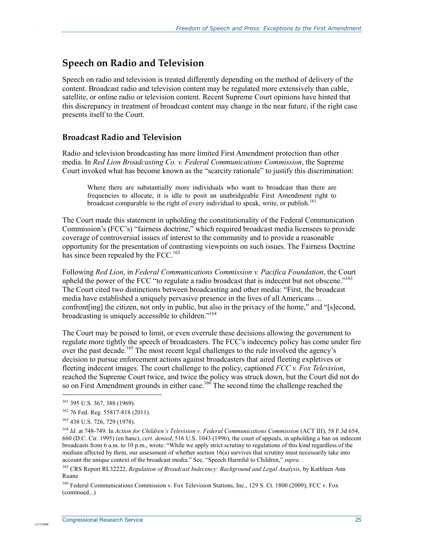#### **Speech on Radio and Television**

Speech on radio and television is treated differently depending on the method of delivery of the content. Broadcast radio and television content may be regulated more extensively than cable, satellite, or online radio or television content. Recent Supreme Court opinions have hinted that this discrepancy in treatment of broadcast content may change in the near future, if the right case presents itself to the Court.

#### **Broadcast Radio and Television**

Radio and television broadcasting has more limited First Amendment protection than other media. In *Red Lion Broadcasting Co. v. Federal Communications Commission*, the Supreme Court invoked what has become known as the "scarcity rationale" to justify this discrimination:

Where there are substantially more individuals who want to broadcast than there are frequencies to allocate, it is idle to posit an unabridgeable First Amendment right to broadcast comparable to the right of every individual to speak, write, or publish.<sup>161</sup>

The Court made this statement in upholding the constitutionality of the Federal Communication Commission's (FCC's) "fairness doctrine," which required broadcast media licensees to provide coverage of controversial issues of interest to the community and to provide a reasonable opportunity for the presentation of contrasting viewpoints on such issues. The Fairness Doctrine has since been repealed by the  $FCC$ <sup>162</sup>

Following *Red Lion*, in *Federal Communications Commission v. Pacifica Foundation*, the Court upheld the power of the FCC "to regulate a radio broadcast that is indecent but not obscene."<sup>163</sup> The Court cited two distinctions between broadcasting and other media: "First, the broadcast media have established a uniquely pervasive presence in the lives of all Americans ... confront[ing] the citizen, not only in public, but also in the privacy of the home," and "[s]econd, broadcasting is uniquely accessible to children."164

The Court may be poised to limit, or even overrule these decisions allowing the government to regulate more tightly the speech of broadcasters. The FCC's indecency policy has come under fire over the past decade.<sup>165</sup> The most recent legal challenges to the rule involved the agency's decision to pursue enforcement actions against broadcasters that aired fleeting expletives or fleeting indecent images. The court challenge to the policy, captioned *FCC v. Fox Television*, reached the Supreme Court twice, and twice the policy was struck down, but the Court did not do so on First Amendment grounds in either case.<sup>166</sup> The second time the challenge reached the

 $\overline{a}$ 

c11173008

<sup>161 395</sup> U.S. 367, 388 (1969).

<sup>162 76</sup> Fed. Reg. 55817-818 (2011).

<sup>163 438</sup> U.S. 726, 729 (1978).

<sup>164</sup> *Id.* at 748-749. In *Action for Children's Television v. Federal Communications Commission* (ACT III), 58 F.3d 654, 660 (D.C. Cir. 1995) (en banc), *cert. denied*, 516 U.S. 1043 (1996), the court of appeals, in upholding a ban on indecent broadcasts from 6 a.m. to 10 p.m., wrote: "While we apply strict scrutiny to regulations of this kind regardless of the medium affected by them, our assessment of whether section 16(a) survives that scrutiny must necessarily take into account the unique context of the broadcast media." See, "Speech Harmful to Children," *supra*.

<sup>165</sup> CRS Report RL32222, *Regulation of Broadcast Indecency: Background and Legal Analysis*, by Kathleen Ann Ruane

<sup>&</sup>lt;sup>166</sup> Federal Communications Commission v. Fox Television Stations, Inc., 129 S. Ct. 1800 (2009); FCC v. Fox (continued...)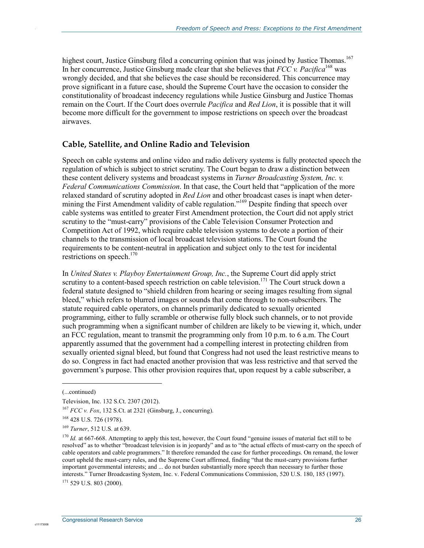highest court, Justice Ginsburg filed a concurring opinion that was joined by Justice Thomas.<sup>167</sup> In her concurrence, Justice Ginsburg made clear that she believes that *FCC v. Pacifica*168 was wrongly decided, and that she believes the case should be reconsidered. This concurrence may prove significant in a future case, should the Supreme Court have the occasion to consider the constitutionality of broadcast indecency regulations while Justice Ginsburg and Justice Thomas remain on the Court. If the Court does overrule *Pacifica* and *Red Lion*, it is possible that it will become more difficult for the government to impose restrictions on speech over the broadcast airwaves.

#### **Cable, Satellite, and Online Radio and Television**

Speech on cable systems and online video and radio delivery systems is fully protected speech the regulation of which is subject to strict scrutiny. The Court began to draw a distinction between these content delivery systems and broadcast systems in *Turner Broadcasting System, Inc. v. Federal Communications Commission*. In that case, the Court held that "application of the more relaxed standard of scrutiny adopted in *Red Lion* and other broadcast cases is inapt when determining the First Amendment validity of cable regulation."<sup>169</sup> Despite finding that speech over cable systems was entitled to greater First Amendment protection, the Court did not apply strict scrutiny to the "must-carry" provisions of the Cable Television Consumer Protection and Competition Act of 1992, which require cable television systems to devote a portion of their channels to the transmission of local broadcast television stations. The Court found the requirements to be content-neutral in application and subject only to the test for incidental restrictions on speech. $170$ 

In *United States v. Playboy Entertainment Group, Inc.*, the Supreme Court did apply strict scrutiny to a content-based speech restriction on cable television.<sup>171</sup> The Court struck down a federal statute designed to "shield children from hearing or seeing images resulting from signal bleed," which refers to blurred images or sounds that come through to non-subscribers. The statute required cable operators, on channels primarily dedicated to sexually oriented programming, either to fully scramble or otherwise fully block such channels, or to not provide such programming when a significant number of children are likely to be viewing it, which, under an FCC regulation, meant to transmit the programming only from 10 p.m. to 6 a.m. The Court apparently assumed that the government had a compelling interest in protecting children from sexually oriented signal bleed, but found that Congress had not used the least restrictive means to do so. Congress in fact had enacted another provision that was less restrictive and that served the government's purpose. This other provision requires that, upon request by a cable subscriber, a

1

c1117300

<sup>(...</sup>continued)

Television, Inc. 132 S.Ct. 2307 (2012).

<sup>167</sup> *FCC v. Fox*, 132 S.Ct. at 2321 (Ginsburg, J., concurring).

<sup>168 428</sup> U.S. 726 (1978).

<sup>169</sup> *Turner*, 512 U.S. at 639.

<sup>&</sup>lt;sup>170</sup> *Id.* at 667-668. Attempting to apply this test, however, the Court found "genuine issues of material fact still to be resolved" as to whether "broadcast television is in jeopardy" and as to "the actual effects of must-carry on the speech of cable operators and cable programmers." It therefore remanded the case for further proceedings. On remand, the lower court upheld the must-carry rules, and the Supreme Court affirmed, finding "that the must-carry provisions further important governmental interests; and ... do not burden substantially more speech than necessary to further those interests." Turner Broadcasting System, Inc. v. Federal Communications Commission, 520 U.S. 180, 185 (1997).  $171$  529 U.S. 803 (2000).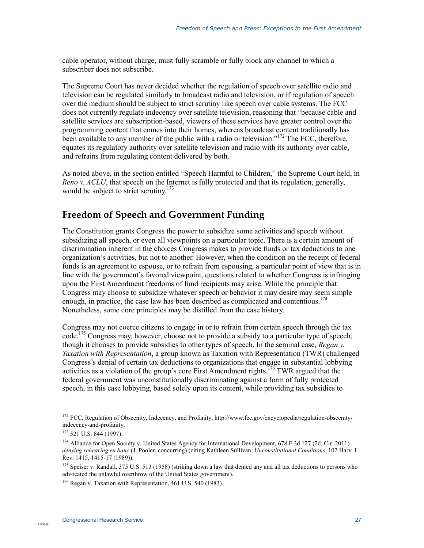cable operator, without charge, must fully scramble or fully block any channel to which a subscriber does not subscribe.

The Supreme Court has never decided whether the regulation of speech over satellite radio and television can be regulated similarly to broadcast radio and television, or if regulation of speech over the medium should be subject to strict scrutiny like speech over cable systems. The FCC does not currently regulate indecency over satellite television, reasoning that "because cable and satellite services are subscription-based, viewers of these services have greater control over the programming content that comes into their homes, whereas broadcast content traditionally has been available to any member of the public with a radio or television."<sup>172</sup> The FCC, therefore, equates its regulatory authority over satellite television and radio with its authority over cable, and refrains from regulating content delivered by both.

As noted above, in the section entitled "Speech Harmful to Children," the Supreme Court held, in *Reno v. ACLU*, that speech on the Internet is fully protected and that its regulation, generally, would be subject to strict scrutiny.<sup>173</sup>

### **Freedom of Speech and Government Funding**

The Constitution grants Congress the power to subsidize some activities and speech without subsidizing all speech, or even all viewpoints on a particular topic. There is a certain amount of discrimination inherent in the choices Congress makes to provide funds or tax deductions to one organization's activities, but not to another. However, when the condition on the receipt of federal funds is an agreement to espouse, or to refrain from espousing, a particular point of view that is in line with the government's favored viewpoint, questions related to whether Congress is infringing upon the First Amendment freedoms of fund recipients may arise. While the principle that Congress may choose to subsidize whatever speech or behavior it may desire may seem simple enough, in practice, the case law has been described as complicated and contentious.<sup>174</sup> Nonetheless, some core principles may be distilled from the case history.

Congress may not coerce citizens to engage in or to refrain from certain speech through the tax code.<sup>175</sup> Congress may, however, choose not to provide a subsidy to a particular type of speech, though it chooses to provide subsidies to other types of speech. In the seminal case, *Regan v. Taxation with Representation*, a group known as Taxation with Representation (TWR) challenged Congress's denial of certain tax deductions to organizations that engage in substantial lobbying activities as a violation of the group's core First Amendment rights.<sup>176</sup> TWR argued that the federal government was unconstitutionally discriminating against a form of fully protected speech, in this case lobbying, based solely upon its content, while providing tax subsidies to

 $\overline{a}$ 

c1117300

<sup>&</sup>lt;sup>172</sup> FCC, Regulation of Obscenity, Indecency, and Profanity, http://www.fcc.gov/encyclopedia/regulation-obscenityindecency-and-profanity.

<sup>173 521</sup> U.S. 844 (1997).

<sup>174</sup> Alliance for Open Society v. United States Agency for International Development, 678 F.3d 127 (2d. Cir. 2011) *denying rehearing en banc* (J. Pooler, concurring) (citing Kathleen Sullivan, *Unconstitutional Conditions*, 102 Harv. L. Rev. 1415, 1415-17 (1989)).

<sup>&</sup>lt;sup>175</sup> Speiser v. Randall, 375 U.S. 513 (1958) (striking down a law that denied any and all tax deductions to persons who advocated the unlawful overthrow of the United States government).

 $176$  Regan v. Taxation with Representation, 461 U.S. 540 (1983).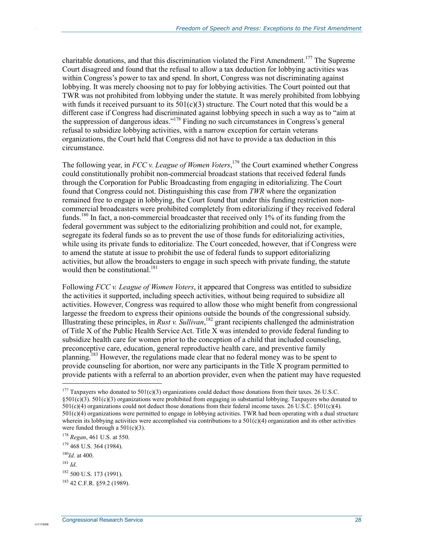charitable donations, and that this discrimination violated the First Amendment.<sup>177</sup> The Supreme Court disagreed and found that the refusal to allow a tax deduction for lobbying activities was within Congress's power to tax and spend. In short, Congress was not discriminating against lobbying. It was merely choosing not to pay for lobbying activities. The Court pointed out that TWR was not prohibited from lobbying under the statute. It was merely prohibited from lobbying with funds it received pursuant to its  $501(c)(3)$  structure. The Court noted that this would be a different case if Congress had discriminated against lobbying speech in such a way as to "aim at the suppression of dangerous ideas."178 Finding no such circumstances in Congress's general refusal to subsidize lobbying activities, with a narrow exception for certain veterans organizations, the Court held that Congress did not have to provide a tax deduction in this circumstance.

The following year, in *FCC v. League of Women Voters*, 179 the Court examined whether Congress could constitutionally prohibit non-commercial broadcast stations that received federal funds through the Corporation for Public Broadcasting from engaging in editorializing. The Court found that Congress could not. Distinguishing this case from *TWR* where the organization remained free to engage in lobbying, the Court found that under this funding restriction noncommercial broadcasters were prohibited completely from editorializing if they received federal funds.<sup>180</sup> In fact, a non-commercial broadcaster that received only 1% of its funding from the federal government was subject to the editorializing prohibition and could not, for example, segregate its federal funds so as to prevent the use of those funds for editorializing activities, while using its private funds to editorialize. The Court conceded, however, that if Congress were to amend the statute at issue to prohibit the use of federal funds to support editorializing activities, but allow the broadcasters to engage in such speech with private funding, the statute would then be constitutional.<sup>181</sup>

Following *FCC v. League of Women Voters*, it appeared that Congress was entitled to subsidize the activities it supported, including speech activities, without being required to subsidize all activities. However, Congress was required to allow those who might benefit from congressional largesse the freedom to express their opinions outside the bounds of the congressional subsidy. Illustrating these principles, in *Rust v. Sullivan*, 182 grant recipients challenged the administration of Title X of the Public Health Service Act. Title X was intended to provide federal funding to subsidize health care for women prior to the conception of a child that included counseling, preconceptive care, education, general reproductive health care, and preventive family planning.<sup>183</sup> However, the regulations made clear that no federal money was to be spent to provide counseling for abortion, nor were any participants in the Title X program permitted to provide patients with a referral to an abortion provider, even when the patient may have requested

c1117300

1

<sup>&</sup>lt;sup>177</sup> Taxpayers who donated to  $501(c)(3)$  organizations could deduct those donations from their taxes. 26 U.S.C. §501(c)(3). 501(c)(3) organizations were prohibited from engaging in substantial lobbying. Taxpayers who donated to 501(c)(4) organizations could not deduct those donations from their federal income taxes. 26 U.S.C. §501(c)(4). 501(c)(4) organizations were permitted to engage in lobbying activities. TWR had been operating with a dual structure wherein its lobbying activities were accomplished via contributions to a  $501(c)(4)$  organization and its other activities were funded through a  $501(c)(3)$ .

<sup>178</sup> *Regan*, 461 U.S. at 550.

<sup>179 468</sup> U.S. 364 (1984).

<sup>180</sup>*Id*. at 400.

<sup>181</sup> *Id*.

<sup>182 500</sup> U.S. 173 (1991).

<sup>183 42</sup> C.F.R. §59.2 (1989).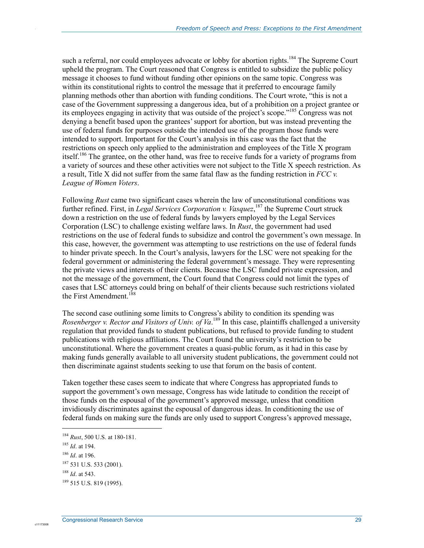such a referral, nor could employees advocate or lobby for abortion rights.<sup>184</sup> The Supreme Court upheld the program. The Court reasoned that Congress is entitled to subsidize the public policy message it chooses to fund without funding other opinions on the same topic. Congress was within its constitutional rights to control the message that it preferred to encourage family planning methods other than abortion with funding conditions. The Court wrote, "this is not a case of the Government suppressing a dangerous idea, but of a prohibition on a project grantee or its employees engaging in activity that was outside of the project's scope."185 Congress was not denying a benefit based upon the grantees' support for abortion, but was instead preventing the use of federal funds for purposes outside the intended use of the program those funds were intended to support. Important for the Court's analysis in this case was the fact that the restrictions on speech only applied to the administration and employees of the Title X program itself.186 The grantee, on the other hand, was free to receive funds for a variety of programs from a variety of sources and these other activities were not subject to the Title X speech restriction. As a result, Title X did not suffer from the same fatal flaw as the funding restriction in *FCC v. League of Women Voters*.

Following *Rust* came two significant cases wherein the law of unconstitutional conditions was further refined. First, in *Legal Services Corporation v. Vasquez*, 187 the Supreme Court struck down a restriction on the use of federal funds by lawyers employed by the Legal Services Corporation (LSC) to challenge existing welfare laws. In *Rust*, the government had used restrictions on the use of federal funds to subsidize and control the government's own message. In this case, however, the government was attempting to use restrictions on the use of federal funds to hinder private speech. In the Court's analysis, lawyers for the LSC were not speaking for the federal government or administering the federal government's message. They were representing the private views and interests of their clients. Because the LSC funded private expression, and not the message of the government, the Court found that Congress could not limit the types of cases that LSC attorneys could bring on behalf of their clients because such restrictions violated the First Amendment.<sup>188</sup>

The second case outlining some limits to Congress's ability to condition its spending was *Rosenberger v. Rector and Visitors of Univ. of Va*. 189 In this case, plaintiffs challenged a university regulation that provided funds to student publications, but refused to provide funding to student publications with religious affiliations. The Court found the university's restriction to be unconstitutional. Where the government creates a quasi-public forum, as it had in this case by making funds generally available to all university student publications, the government could not then discriminate against students seeking to use that forum on the basis of content.

Taken together these cases seem to indicate that where Congress has appropriated funds to support the government's own message, Congress has wide latitude to condition the receipt of those funds on the espousal of the government's approved message, unless that condition invidiously discriminates against the espousal of dangerous ideas. In conditioning the use of federal funds on making sure the funds are only used to support Congress's approved message,

 $\overline{a}$ 

<sup>184</sup> *Rust*, 500 U.S. at 180-181.

<sup>185</sup> *Id*. at 194.

<sup>186</sup> *Id*. at 196.

<sup>187 531</sup> U.S. 533 (2001).

<sup>188</sup> *Id*. at 543.

<sup>189 515</sup> U.S. 819 (1995).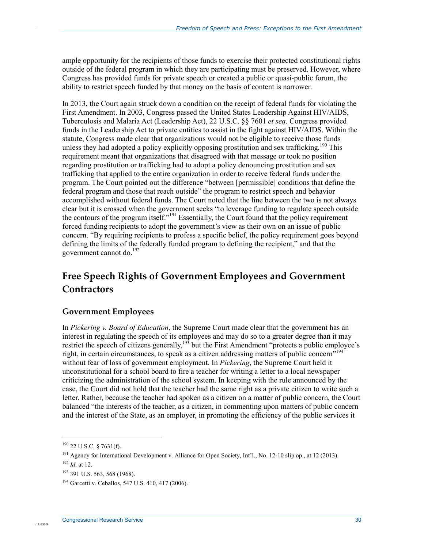ample opportunity for the recipients of those funds to exercise their protected constitutional rights outside of the federal program in which they are participating must be preserved. However, where Congress has provided funds for private speech or created a public or quasi-public forum, the ability to restrict speech funded by that money on the basis of content is narrower.

In 2013, the Court again struck down a condition on the receipt of federal funds for violating the First Amendment. In 2003, Congress passed the United States Leadership Against HIV/AIDS, Tuberculosis and Malaria Act (Leadership Act), 22 U.S.C. §§ 7601 *et seq*. Congress provided funds in the Leadership Act to private entities to assist in the fight against HIV/AIDS. Within the statute, Congress made clear that organizations would not be eligible to receive those funds unless they had adopted a policy explicitly opposing prostitution and sex trafficking.<sup>190</sup> This requirement meant that organizations that disagreed with that message or took no position regarding prostitution or trafficking had to adopt a policy denouncing prostitution and sex trafficking that applied to the entire organization in order to receive federal funds under the program. The Court pointed out the difference "between [permissible] conditions that define the federal program and those that reach outside" the program to restrict speech and behavior accomplished without federal funds. The Court noted that the line between the two is not always clear but it is crossed when the government seeks "to leverage funding to regulate speech outside the contours of the program itself."191 Essentially, the Court found that the policy requirement forced funding recipients to adopt the government's view as their own on an issue of public concern. "By requiring recipients to profess a specific belief, the policy requirement goes beyond defining the limits of the federally funded program to defining the recipient," and that the government cannot do.<sup>192</sup>

## **Free Speech Rights of Government Employees and Government Contractors**

#### **Government Employees**

In *Pickering v. Board of Education*, the Supreme Court made clear that the government has an interest in regulating the speech of its employees and may do so to a greater degree than it may restrict the speech of citizens generally,<sup>193</sup> but the First Amendment "protects a public employee's right, in certain circumstances, to speak as a citizen addressing matters of public concern<sup> $194$ </sup> without fear of loss of government employment. In *Pickering*, the Supreme Court held it unconstitutional for a school board to fire a teacher for writing a letter to a local newspaper criticizing the administration of the school system. In keeping with the rule announced by the case, the Court did not hold that the teacher had the same right as a private citizen to write such a letter. Rather, because the teacher had spoken as a citizen on a matter of public concern, the Court balanced "the interests of the teacher, as a citizen, in commenting upon matters of public concern and the interest of the State, as an employer, in promoting the efficiency of the public services it

1

c11173008

<sup>190 22</sup> U.S.C. § 7631(f).

<sup>&</sup>lt;sup>191</sup> Agency for International Development v. Alliance for Open Society, Int'l., No. 12-10 slip op., at 12 (2013).

<sup>192</sup> *Id*. at 12.

<sup>193 391</sup> U.S. 563, 568 (1968).

<sup>&</sup>lt;sup>194</sup> Garcetti v. Ceballos, 547 U.S. 410, 417 (2006).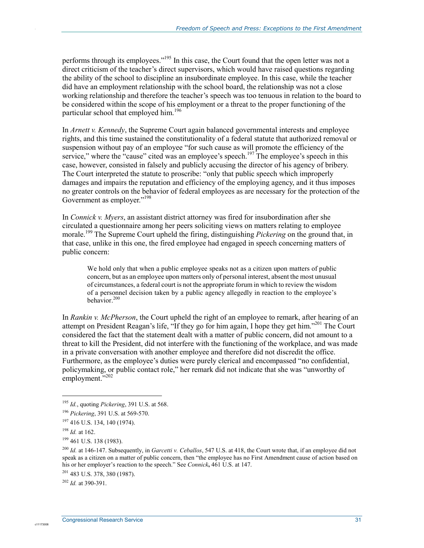performs through its employees."<sup>195</sup> In this case, the Court found that the open letter was not a direct criticism of the teacher's direct supervisors, which would have raised questions regarding the ability of the school to discipline an insubordinate employee. In this case, while the teacher did have an employment relationship with the school board, the relationship was not a close working relationship and therefore the teacher's speech was too tenuous in relation to the board to be considered within the scope of his employment or a threat to the proper functioning of the particular school that employed him.<sup>196</sup>

In *Arnett v. Kennedy*, the Supreme Court again balanced governmental interests and employee rights, and this time sustained the constitutionality of a federal statute that authorized removal or suspension without pay of an employee "for such cause as will promote the efficiency of the suspension which put of an employee for such the  $\frac{1}{27}$ . The employee's speech in this service," where the "cause" cited was an employee's speech.<sup>197</sup> The employee's speech in this case, however, consisted in falsely and publicly accusing the director of his agency of bribery. The Court interpreted the statute to proscribe: "only that public speech which improperly damages and impairs the reputation and efficiency of the employing agency, and it thus imposes no greater controls on the behavior of federal employees as are necessary for the protection of the Government as employer."<sup>198</sup>

In *Connick v. Myers*, an assistant district attorney was fired for insubordination after she circulated a questionnaire among her peers soliciting views on matters relating to employee morale.<sup>199</sup> The Supreme Court upheld the firing, distinguishing *Pickering* on the ground that, in that case, unlike in this one, the fired employee had engaged in speech concerning matters of public concern:

We hold only that when a public employee speaks not as a citizen upon matters of public concern, but as an employee upon matters only of personal interest, absent the most unusual of circumstances, a federal court is not the appropriate forum in which to review the wisdom of a personnel decision taken by a public agency allegedly in reaction to the employee's behavior.<sup>200</sup>

In *Rankin v. McPherson*, the Court upheld the right of an employee to remark, after hearing of an attempt on President Reagan's life, "If they go for him again, I hope they get him."201 The Court considered the fact that the statement dealt with a matter of public concern, did not amount to a threat to kill the President, did not interfere with the functioning of the workplace, and was made in a private conversation with another employee and therefore did not discredit the office. Furthermore, as the employee's duties were purely clerical and encompassed "no confidential, policymaking, or public contact role," her remark did not indicate that she was "unworthy of employment."<sup>202</sup>

1

c11173008

<sup>195</sup> *Id.*, quoting *Pickering*, 391 U.S. at 568.

<sup>196</sup> *Pickering*, 391 U.S. at 569-570.

<sup>197 416</sup> U.S. 134, 140 (1974).

<sup>198</sup> *Id.* at 162.

<sup>199 461</sup> U.S. 138 (1983).

<sup>200</sup> *Id.* at 146-147. Subsequently, in *Garcetti v. Ceballos*, 547 U.S. at 418, the Court wrote that, if an employee did not speak as a citizen on a matter of public concern, then "the employee has no First Amendment cause of action based on his or her employer's reaction to the speech." See *Connick***,** 461 U.S. at 147.

 $201$  483 U.S. 378, 380 (1987).

<sup>202</sup> *Id.* at 390-391.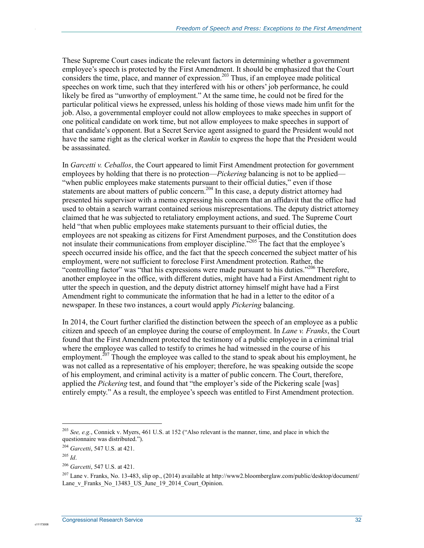These Supreme Court cases indicate the relevant factors in determining whether a government employee's speech is protected by the First Amendment. It should be emphasized that the Court considers the time, place, and manner of expression.<sup>203</sup> Thus, if an employee made political speeches on work time, such that they interfered with his or others' job performance, he could likely be fired as "unworthy of employment." At the same time, he could not be fired for the particular political views he expressed, unless his holding of those views made him unfit for the job. Also, a governmental employer could not allow employees to make speeches in support of one political candidate on work time, but not allow employees to make speeches in support of that candidate's opponent. But a Secret Service agent assigned to guard the President would not have the same right as the clerical worker in *Rankin* to express the hope that the President would be assassinated.

In *Garcetti v. Ceballos*, the Court appeared to limit First Amendment protection for government employees by holding that there is no protection—*Pickering* balancing is not to be applied— "when public employees make statements pursuant to their official duties," even if those statements are about matters of public concern.<sup>204</sup> In this case, a deputy district attorney had presented his supervisor with a memo expressing his concern that an affidavit that the office had used to obtain a search warrant contained serious misrepresentations. The deputy district attorney claimed that he was subjected to retaliatory employment actions, and sued. The Supreme Court held "that when public employees make statements pursuant to their official duties, the employees are not speaking as citizens for First Amendment purposes, and the Constitution does not insulate their communications from employer discipline.<sup>"205</sup> The fact that the employee's speech occurred inside his office, and the fact that the speech concerned the subject matter of his employment, were not sufficient to foreclose First Amendment protection. Rather, the "controlling factor" was "that his expressions were made pursuant to his duties."<sup>206</sup> Therefore, another employee in the office, with different duties, might have had a First Amendment right to utter the speech in question, and the deputy district attorney himself might have had a First Amendment right to communicate the information that he had in a letter to the editor of a newspaper. In these two instances, a court would apply *Pickering* balancing.

In 2014, the Court further clarified the distinction between the speech of an employee as a public citizen and speech of an employee during the course of employment. In *Lane v. Franks*, the Court found that the First Amendment protected the testimony of a public employee in a criminal trial where the employee was called to testify to crimes he had witnessed in the course of his employment.<sup>207</sup> Though the employee was called to the stand to speak about his employment, he was not called as a representative of his employer; therefore, he was speaking outside the scope of his employment, and criminal activity is a matter of public concern. The Court, therefore, applied the *Pickering* test, and found that "the employer's side of the Pickering scale [was] entirely empty." As a result, the employee's speech was entitled to First Amendment protection.

c1117300

1

<sup>203</sup> *See, e.g.*, Connick v. Myers, 461 U.S. at 152 ("Also relevant is the manner, time, and place in which the questionnaire was distributed.").

<sup>204</sup> *Garcetti*, 547 U.S. at 421.

<sup>205</sup> *Id*.

<sup>206</sup> *Garcetti*, 547 U.S. at 421.

 $^{207}$  Lane v. Franks, No. 13-483, slip op., (2014) available at http://www2.bloomberglaw.com/public/desktop/document/ Lane\_v\_Franks\_No\_13483\_US\_June\_19\_2014\_Court\_Opinion.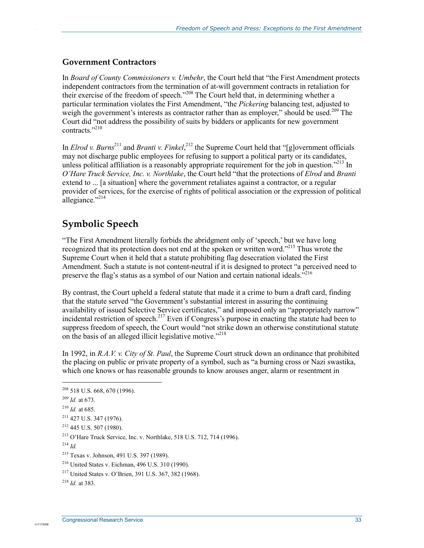#### **Government Contractors**

.

In *Board of County Commissioners v. Umbehr*, the Court held that "the First Amendment protects independent contractors from the termination of at-will government contracts in retaliation for their exercise of the freedom of speech."208 The Court held that, in determining whether a particular termination violates the First Amendment, "the *Pickering* balancing test, adjusted to weigh the government's interests as contractor rather than as employer," should be used.<sup>209</sup> The Court did "not address the possibility of suits by bidders or applicants for new government contracts."210

In *Elrod v. Burns*<sup>211</sup> and *Branti v. Finkel*,<sup>212</sup> the Supreme Court held that "[g]overnment officials may not discharge public employees for refusing to support a political party or its candidates, unless political affiliation is a reasonably appropriate requirement for the job in question."<sup>213</sup> In *O'Hare Truck Service, Inc. v. Northlake*, the Court held "that the protections of *Elrod* and *Branti* extend to ... [a situation] where the government retaliates against a contractor, or a regular provider of services, for the exercise of rights of political association or the expression of political allegiance."214

### **Symbolic Speech**

"The First Amendment literally forbids the abridgment only of 'speech,' but we have long recognized that its protection does not end at the spoken or written word."<sup>215</sup> Thus wrote the Supreme Court when it held that a statute prohibiting flag desecration violated the First Amendment. Such a statute is not content-neutral if it is designed to protect "a perceived need to preserve the flag's status as a symbol of our Nation and certain national ideals.<sup>2216</sup>

By contrast, the Court upheld a federal statute that made it a crime to burn a draft card, finding that the statute served "the Government's substantial interest in assuring the continuing availability of issued Selective Service certificates," and imposed only an "appropriately narrow" incidental restriction of speech.<sup>217</sup> Even if Congress's purpose in enacting the statute had been to suppress freedom of speech, the Court would "not strike down an otherwise constitutional statute on the basis of an alleged illicit legislative motive."<sup>218</sup>

In 1992, in *R.A.V. v. City of St. Paul*, the Supreme Court struck down an ordinance that prohibited the placing on public or private property of a symbol, such as "a burning cross or Nazi swastika, which one knows or has reasonable grounds to know arouses anger, alarm or resentment in

 $\overline{a}$ 

 $208$  518 U.S. 668, 670 (1996).

<sup>209</sup> *Id.* at 673.

 $^{210}$  *Id.* at 685.

<sup>211 427</sup> U.S. 347 (1976).

<sup>212 445</sup> U.S. 507 (1980).

<sup>213</sup> O'Hare Truck Service, Inc. v. Northlake, 518 U.S. 712, 714 (1996).

<sup>214</sup> *Id.*

<sup>215</sup> Texas v. Johnson, 491 U.S. 397 (1989).

<sup>216</sup> United States v. Eichman, 496 U.S. 310 (1990).

<sup>217</sup> United States v. O'Brien, 391 U.S. 367, 382 (1968).

<sup>218</sup> *Id.* at 383.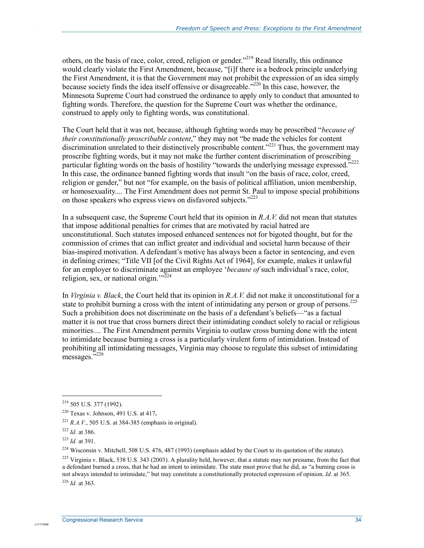others, on the basis of race, color, creed, religion or gender."219 Read literally, this ordinance would clearly violate the First Amendment, because, "[i]f there is a bedrock principle underlying the First Amendment, it is that the Government may not prohibit the expression of an idea simply because society finds the idea itself offensive or disagreeable.<sup> $220$ </sup> In this case, however, the Minnesota Supreme Court had construed the ordinance to apply only to conduct that amounted to fighting words. Therefore, the question for the Supreme Court was whether the ordinance, construed to apply only to fighting words, was constitutional.

The Court held that it was not, because, although fighting words may be proscribed "*because of their constitutionally proscribable content*," they may not "be made the vehicles for content discrimination unrelated to their distinctively proscribable content."<sup>221</sup> Thus, the government may discrimination unrelated to their distributively prosecutive sensitively discrimination of proscribing<br>proscribe fighting words, but it may not make the further content discrimination of proscribing particular fighting words on the basis of hostility "towards the underlying message expressed." In this case, the ordinance banned fighting words that insult "on the basis of race, color, creed, religion or gender," but not "for example, on the basis of political affiliation, union membership, or homosexuality.... The First Amendment does not permit St. Paul to impose special prohibitions on those speakers who express views on disfavored subjects."<sup>223</sup>

In a subsequent case, the Supreme Court held that its opinion in *R.A.V.* did not mean that statutes that impose additional penalties for crimes that are motivated by racial hatred are unconstitutional. Such statutes imposed enhanced sentences not for bigoted thought, but for the commission of crimes that can inflict greater and individual and societal harm because of their bias-inspired motivation. A defendant's motive has always been a factor in sentencing, and even in defining crimes; "Title VII [of the Civil Rights Act of 1964], for example, makes it unlawful for an employer to discriminate against an employee '*because of* such individual's race, color, religion, sex, or national origin."<sup>224</sup>

In *Virginia v. Black*, the Court held that its opinion in *R.A.V.* did not make it unconstitutional for a state to prohibit burning a cross with the intent of intimidating any person or group of persons.<sup>225</sup> Such a prohibition does not discriminate on the basis of a defendant's beliefs—"as a factual matter it is not true that cross burners direct their intimidating conduct solely to racial or religious minorities.... The First Amendment permits Virginia to outlaw cross burning done with the intent to intimidate because burning a cross is a particularly virulent form of intimidation. Instead of prohibiting all intimidating messages, Virginia may choose to regulate this subset of intimidating messages."<sup>226</sup>

1

c1117300

<sup>219 505</sup> U.S. 377 (1992).

<sup>220</sup> Texas v. Johnson, 491 U.S. at 417**.**

 $221$  *R.A.V.*, 505 U.S. at 384-385 (emphasis in original).

<sup>222</sup> *Id.* at 386.

<sup>223</sup> *Id.* at 391.

<sup>&</sup>lt;sup>224</sup> Wisconsin v. Mitchell, 508 U.S. 476, 487 (1993) (emphasis added by the Court to its quotation of the statute).

 $^{225}$  Virginia v. Black, 538 U.S. 343 (2003). A plurality held, however, that a statute may not presume, from the fact that a defendant burned a cross, that he had an intent to intimidate. The state must prove that he did, as "a burning cross is not always intended to intimidate," but may constitute a constitutionally protected expression of opinion. *Id.* at 365. <sup>226</sup> *Id.* at 363.